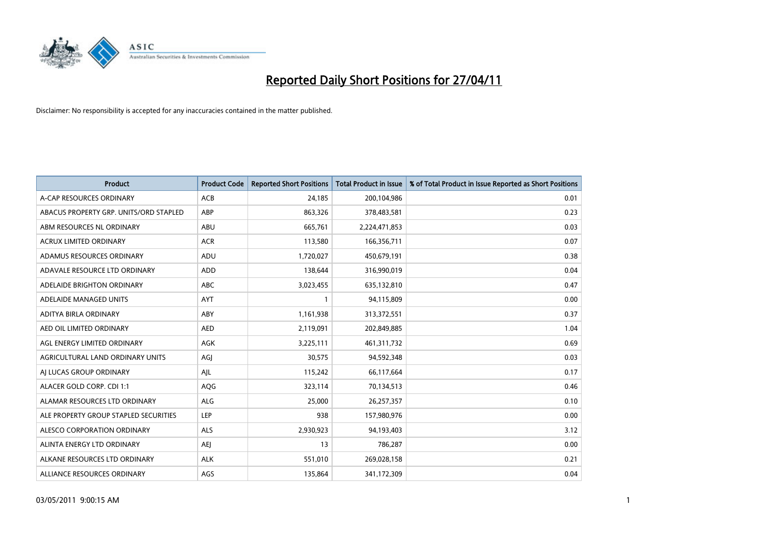

| <b>Product</b>                         | <b>Product Code</b> | <b>Reported Short Positions</b> | Total Product in Issue | % of Total Product in Issue Reported as Short Positions |
|----------------------------------------|---------------------|---------------------------------|------------------------|---------------------------------------------------------|
| A-CAP RESOURCES ORDINARY               | <b>ACB</b>          | 24,185                          | 200,104,986            | 0.01                                                    |
| ABACUS PROPERTY GRP. UNITS/ORD STAPLED | ABP                 | 863,326                         | 378,483,581            | 0.23                                                    |
| ABM RESOURCES NL ORDINARY              | ABU                 | 665,761                         | 2,224,471,853          | 0.03                                                    |
| ACRUX LIMITED ORDINARY                 | <b>ACR</b>          | 113,580                         | 166,356,711            | 0.07                                                    |
| ADAMUS RESOURCES ORDINARY              | ADU                 | 1,720,027                       | 450,679,191            | 0.38                                                    |
| ADAVALE RESOURCE LTD ORDINARY          | <b>ADD</b>          | 138,644                         | 316,990,019            | 0.04                                                    |
| ADELAIDE BRIGHTON ORDINARY             | <b>ABC</b>          | 3,023,455                       | 635,132,810            | 0.47                                                    |
| ADELAIDE MANAGED UNITS                 | <b>AYT</b>          |                                 | 94,115,809             | 0.00                                                    |
| ADITYA BIRLA ORDINARY                  | ABY                 | 1,161,938                       | 313,372,551            | 0.37                                                    |
| AED OIL LIMITED ORDINARY               | <b>AED</b>          | 2,119,091                       | 202,849,885            | 1.04                                                    |
| AGL ENERGY LIMITED ORDINARY            | AGK                 | 3,225,111                       | 461,311,732            | 0.69                                                    |
| AGRICULTURAL LAND ORDINARY UNITS       | AGJ                 | 30,575                          | 94,592,348             | 0.03                                                    |
| AI LUCAS GROUP ORDINARY                | AJL                 | 115,242                         | 66,117,664             | 0.17                                                    |
| ALACER GOLD CORP. CDI 1:1              | AQG                 | 323,114                         | 70,134,513             | 0.46                                                    |
| ALAMAR RESOURCES LTD ORDINARY          | <b>ALG</b>          | 25,000                          | 26,257,357             | 0.10                                                    |
| ALE PROPERTY GROUP STAPLED SECURITIES  | <b>LEP</b>          | 938                             | 157,980,976            | 0.00                                                    |
| ALESCO CORPORATION ORDINARY            | ALS                 | 2,930,923                       | 94,193,403             | 3.12                                                    |
| ALINTA ENERGY LTD ORDINARY             | <b>AEI</b>          | 13                              | 786,287                | 0.00                                                    |
| ALKANE RESOURCES LTD ORDINARY          | <b>ALK</b>          | 551,010                         | 269,028,158            | 0.21                                                    |
| ALLIANCE RESOURCES ORDINARY            | AGS                 | 135,864                         | 341,172,309            | 0.04                                                    |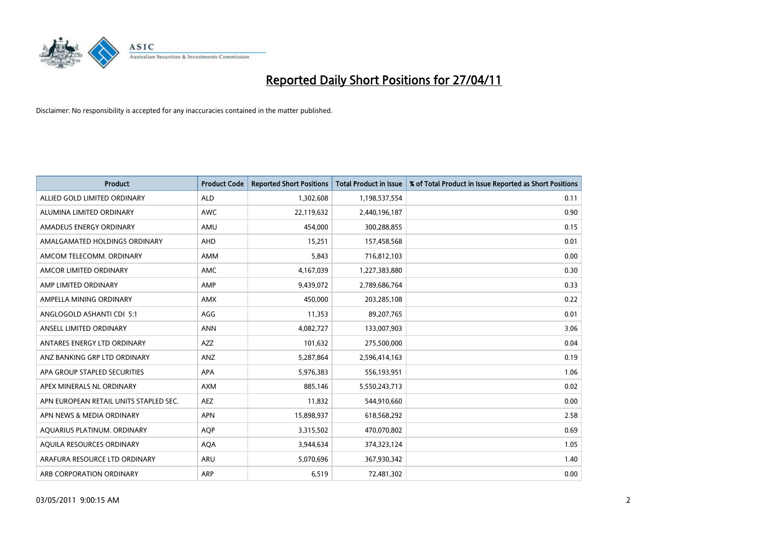

| <b>Product</b>                         | <b>Product Code</b> | <b>Reported Short Positions</b> | <b>Total Product in Issue</b> | % of Total Product in Issue Reported as Short Positions |
|----------------------------------------|---------------------|---------------------------------|-------------------------------|---------------------------------------------------------|
| ALLIED GOLD LIMITED ORDINARY           | <b>ALD</b>          | 1,302,608                       | 1,198,537,554                 | 0.11                                                    |
| ALUMINA LIMITED ORDINARY               | <b>AWC</b>          | 22,119,632                      | 2,440,196,187                 | 0.90                                                    |
| AMADEUS ENERGY ORDINARY                | AMU                 | 454.000                         | 300,288,855                   | 0.15                                                    |
| AMALGAMATED HOLDINGS ORDINARY          | AHD                 | 15,251                          | 157,458,568                   | 0.01                                                    |
| AMCOM TELECOMM, ORDINARY               | <b>AMM</b>          | 5,843                           | 716,812,103                   | 0.00                                                    |
| AMCOR LIMITED ORDINARY                 | <b>AMC</b>          | 4,167,039                       | 1,227,383,880                 | 0.30                                                    |
| AMP LIMITED ORDINARY                   | AMP                 | 9,439,072                       | 2,789,686,764                 | 0.33                                                    |
| AMPELLA MINING ORDINARY                | <b>AMX</b>          | 450.000                         | 203,285,108                   | 0.22                                                    |
| ANGLOGOLD ASHANTI CDI 5:1              | AGG                 | 11,353                          | 89,207,765                    | 0.01                                                    |
| ANSELL LIMITED ORDINARY                | <b>ANN</b>          | 4,082,727                       | 133,007,903                   | 3.06                                                    |
| ANTARES ENERGY LTD ORDINARY            | <b>AZZ</b>          | 101,632                         | 275,500,000                   | 0.04                                                    |
| ANZ BANKING GRP LTD ORDINARY           | ANZ                 | 5,287,864                       | 2,596,414,163                 | 0.19                                                    |
| APA GROUP STAPLED SECURITIES           | <b>APA</b>          | 5,976,383                       | 556,193,951                   | 1.06                                                    |
| APEX MINERALS NL ORDINARY              | <b>AXM</b>          | 885,146                         | 5,550,243,713                 | 0.02                                                    |
| APN EUROPEAN RETAIL UNITS STAPLED SEC. | <b>AEZ</b>          | 11,832                          | 544,910,660                   | 0.00                                                    |
| APN NEWS & MEDIA ORDINARY              | APN                 | 15,898,937                      | 618,568,292                   | 2.58                                                    |
| AQUARIUS PLATINUM. ORDINARY            | <b>AQP</b>          | 3,315,502                       | 470,070,802                   | 0.69                                                    |
| AQUILA RESOURCES ORDINARY              | <b>AQA</b>          | 3,944,634                       | 374,323,124                   | 1.05                                                    |
| ARAFURA RESOURCE LTD ORDINARY          | <b>ARU</b>          | 5,070,696                       | 367,930,342                   | 1.40                                                    |
| ARB CORPORATION ORDINARY               | ARP                 | 6,519                           | 72,481,302                    | 0.00                                                    |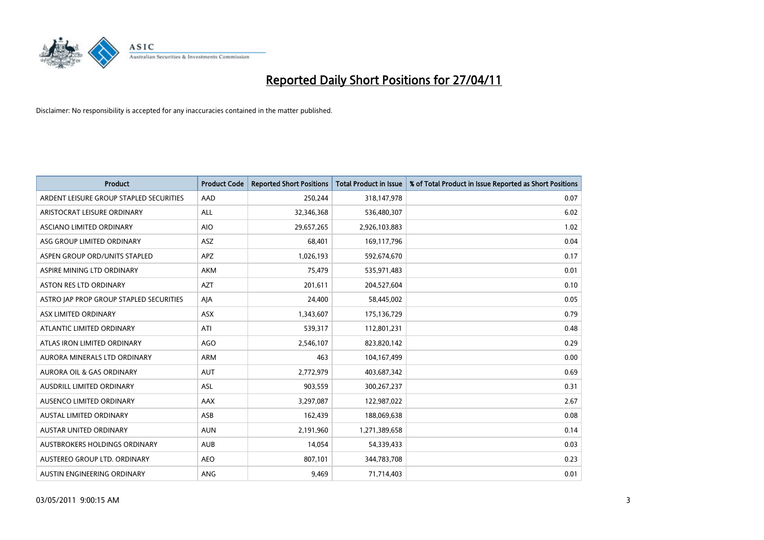

| <b>Product</b>                          | <b>Product Code</b> | <b>Reported Short Positions</b> | <b>Total Product in Issue</b> | % of Total Product in Issue Reported as Short Positions |
|-----------------------------------------|---------------------|---------------------------------|-------------------------------|---------------------------------------------------------|
| ARDENT LEISURE GROUP STAPLED SECURITIES | AAD                 | 250,244                         | 318,147,978                   | 0.07                                                    |
| ARISTOCRAT LEISURE ORDINARY             | ALL                 | 32,346,368                      | 536,480,307                   | 6.02                                                    |
| ASCIANO LIMITED ORDINARY                | <b>AIO</b>          | 29,657,265                      | 2,926,103,883                 | 1.02                                                    |
| ASG GROUP LIMITED ORDINARY              | ASZ                 | 68,401                          | 169,117,796                   | 0.04                                                    |
| ASPEN GROUP ORD/UNITS STAPLED           | <b>APZ</b>          | 1,026,193                       | 592,674,670                   | 0.17                                                    |
| ASPIRE MINING LTD ORDINARY              | <b>AKM</b>          | 75,479                          | 535,971,483                   | 0.01                                                    |
| ASTON RES LTD ORDINARY                  | <b>AZT</b>          | 201,611                         | 204,527,604                   | 0.10                                                    |
| ASTRO JAP PROP GROUP STAPLED SECURITIES | AJA                 | 24,400                          | 58,445,002                    | 0.05                                                    |
| ASX LIMITED ORDINARY                    | <b>ASX</b>          | 1,343,607                       | 175,136,729                   | 0.79                                                    |
| ATLANTIC LIMITED ORDINARY               | ATI                 | 539,317                         | 112,801,231                   | 0.48                                                    |
| ATLAS IRON LIMITED ORDINARY             | <b>AGO</b>          | 2,546,107                       | 823,820,142                   | 0.29                                                    |
| AURORA MINERALS LTD ORDINARY            | <b>ARM</b>          | 463                             | 104,167,499                   | 0.00                                                    |
| <b>AURORA OIL &amp; GAS ORDINARY</b>    | <b>AUT</b>          | 2,772,979                       | 403,687,342                   | 0.69                                                    |
| <b>AUSDRILL LIMITED ORDINARY</b>        | <b>ASL</b>          | 903,559                         | 300,267,237                   | 0.31                                                    |
| AUSENCO LIMITED ORDINARY                | AAX                 | 3,297,087                       | 122,987,022                   | 2.67                                                    |
| <b>AUSTAL LIMITED ORDINARY</b>          | ASB                 | 162,439                         | 188,069,638                   | 0.08                                                    |
| <b>AUSTAR UNITED ORDINARY</b>           | <b>AUN</b>          | 2,191,960                       | 1,271,389,658                 | 0.14                                                    |
| AUSTBROKERS HOLDINGS ORDINARY           | <b>AUB</b>          | 14,054                          | 54,339,433                    | 0.03                                                    |
| AUSTEREO GROUP LTD. ORDINARY            | <b>AEO</b>          | 807,101                         | 344,783,708                   | 0.23                                                    |
| AUSTIN ENGINEERING ORDINARY             | ANG                 | 9,469                           | 71,714,403                    | 0.01                                                    |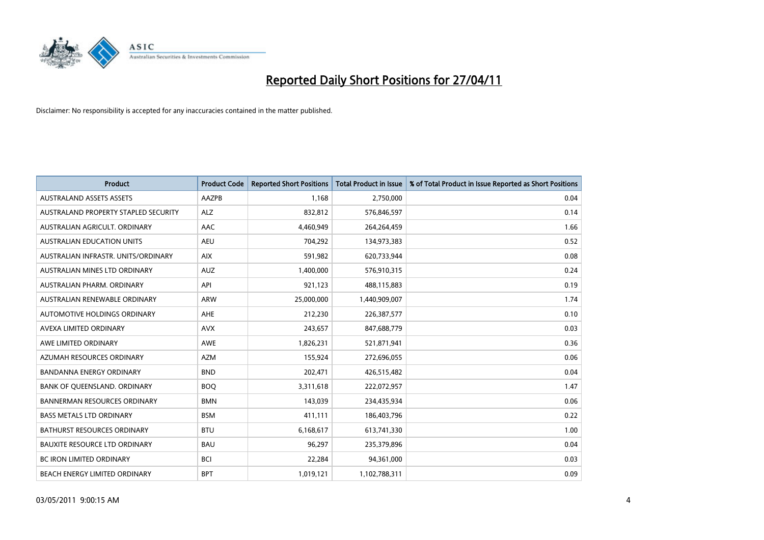

| <b>Product</b>                       | <b>Product Code</b> | <b>Reported Short Positions</b> | Total Product in Issue | % of Total Product in Issue Reported as Short Positions |
|--------------------------------------|---------------------|---------------------------------|------------------------|---------------------------------------------------------|
| <b>AUSTRALAND ASSETS ASSETS</b>      | AAZPB               | 1,168                           | 2,750,000              | 0.04                                                    |
| AUSTRALAND PROPERTY STAPLED SECURITY | <b>ALZ</b>          | 832,812                         | 576,846,597            | 0.14                                                    |
| AUSTRALIAN AGRICULT, ORDINARY        | AAC                 | 4,460,949                       | 264,264,459            | 1.66                                                    |
| AUSTRALIAN EDUCATION UNITS           | <b>AEU</b>          | 704,292                         | 134,973,383            | 0.52                                                    |
| AUSTRALIAN INFRASTR, UNITS/ORDINARY  | <b>AIX</b>          | 591,982                         | 620,733,944            | 0.08                                                    |
| AUSTRALIAN MINES LTD ORDINARY        | <b>AUZ</b>          | 1,400,000                       | 576,910,315            | 0.24                                                    |
| AUSTRALIAN PHARM, ORDINARY           | API                 | 921,123                         | 488,115,883            | 0.19                                                    |
| AUSTRALIAN RENEWABLE ORDINARY        | <b>ARW</b>          | 25,000,000                      | 1,440,909,007          | 1.74                                                    |
| AUTOMOTIVE HOLDINGS ORDINARY         | <b>AHE</b>          | 212,230                         | 226,387,577            | 0.10                                                    |
| AVEXA LIMITED ORDINARY               | <b>AVX</b>          | 243,657                         | 847,688,779            | 0.03                                                    |
| AWE LIMITED ORDINARY                 | <b>AWE</b>          | 1,826,231                       | 521,871,941            | 0.36                                                    |
| AZUMAH RESOURCES ORDINARY            | <b>AZM</b>          | 155,924                         | 272,696,055            | 0.06                                                    |
| <b>BANDANNA ENERGY ORDINARY</b>      | <b>BND</b>          | 202,471                         | 426,515,482            | 0.04                                                    |
| BANK OF QUEENSLAND. ORDINARY         | <b>BOO</b>          | 3,311,618                       | 222,072,957            | 1.47                                                    |
| <b>BANNERMAN RESOURCES ORDINARY</b>  | <b>BMN</b>          | 143,039                         | 234,435,934            | 0.06                                                    |
| <b>BASS METALS LTD ORDINARY</b>      | <b>BSM</b>          | 411,111                         | 186,403,796            | 0.22                                                    |
| <b>BATHURST RESOURCES ORDINARY</b>   | <b>BTU</b>          | 6,168,617                       | 613,741,330            | 1.00                                                    |
| <b>BAUXITE RESOURCE LTD ORDINARY</b> | <b>BAU</b>          | 96,297                          | 235,379,896            | 0.04                                                    |
| <b>BC IRON LIMITED ORDINARY</b>      | <b>BCI</b>          | 22,284                          | 94,361,000             | 0.03                                                    |
| BEACH ENERGY LIMITED ORDINARY        | <b>BPT</b>          | 1,019,121                       | 1,102,788,311          | 0.09                                                    |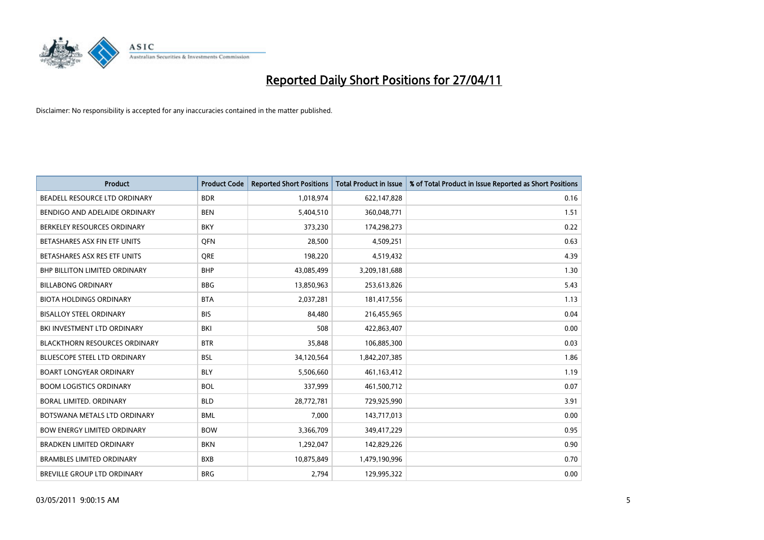

| <b>Product</b>                       | <b>Product Code</b> | <b>Reported Short Positions</b> | <b>Total Product in Issue</b> | % of Total Product in Issue Reported as Short Positions |
|--------------------------------------|---------------------|---------------------------------|-------------------------------|---------------------------------------------------------|
| BEADELL RESOURCE LTD ORDINARY        | <b>BDR</b>          | 1,018,974                       | 622,147,828                   | 0.16                                                    |
| BENDIGO AND ADELAIDE ORDINARY        | <b>BEN</b>          | 5,404,510                       | 360,048,771                   | 1.51                                                    |
| BERKELEY RESOURCES ORDINARY          | <b>BKY</b>          | 373,230                         | 174,298,273                   | 0.22                                                    |
| BETASHARES ASX FIN ETF UNITS         | <b>OFN</b>          | 28,500                          | 4,509,251                     | 0.63                                                    |
| BETASHARES ASX RES ETF UNITS         | <b>ORE</b>          | 198,220                         | 4,519,432                     | 4.39                                                    |
| <b>BHP BILLITON LIMITED ORDINARY</b> | <b>BHP</b>          | 43,085,499                      | 3,209,181,688                 | 1.30                                                    |
| <b>BILLABONG ORDINARY</b>            | <b>BBG</b>          | 13,850,963                      | 253,613,826                   | 5.43                                                    |
| <b>BIOTA HOLDINGS ORDINARY</b>       | <b>BTA</b>          | 2,037,281                       | 181,417,556                   | 1.13                                                    |
| <b>BISALLOY STEEL ORDINARY</b>       | <b>BIS</b>          | 84,480                          | 216,455,965                   | 0.04                                                    |
| BKI INVESTMENT LTD ORDINARY          | <b>BKI</b>          | 508                             | 422,863,407                   | 0.00                                                    |
| <b>BLACKTHORN RESOURCES ORDINARY</b> | <b>BTR</b>          | 35,848                          | 106,885,300                   | 0.03                                                    |
| <b>BLUESCOPE STEEL LTD ORDINARY</b>  | <b>BSL</b>          | 34,120,564                      | 1,842,207,385                 | 1.86                                                    |
| <b>BOART LONGYEAR ORDINARY</b>       | <b>BLY</b>          | 5,506,660                       | 461,163,412                   | 1.19                                                    |
| <b>BOOM LOGISTICS ORDINARY</b>       | <b>BOL</b>          | 337,999                         | 461,500,712                   | 0.07                                                    |
| <b>BORAL LIMITED, ORDINARY</b>       | <b>BLD</b>          | 28,772,781                      | 729,925,990                   | 3.91                                                    |
| BOTSWANA METALS LTD ORDINARY         | <b>BML</b>          | 7,000                           | 143,717,013                   | 0.00                                                    |
| <b>BOW ENERGY LIMITED ORDINARY</b>   | <b>BOW</b>          | 3,366,709                       | 349,417,229                   | 0.95                                                    |
| <b>BRADKEN LIMITED ORDINARY</b>      | <b>BKN</b>          | 1,292,047                       | 142,829,226                   | 0.90                                                    |
| <b>BRAMBLES LIMITED ORDINARY</b>     | <b>BXB</b>          | 10,875,849                      | 1,479,190,996                 | 0.70                                                    |
| <b>BREVILLE GROUP LTD ORDINARY</b>   | <b>BRG</b>          | 2.794                           | 129,995,322                   | 0.00                                                    |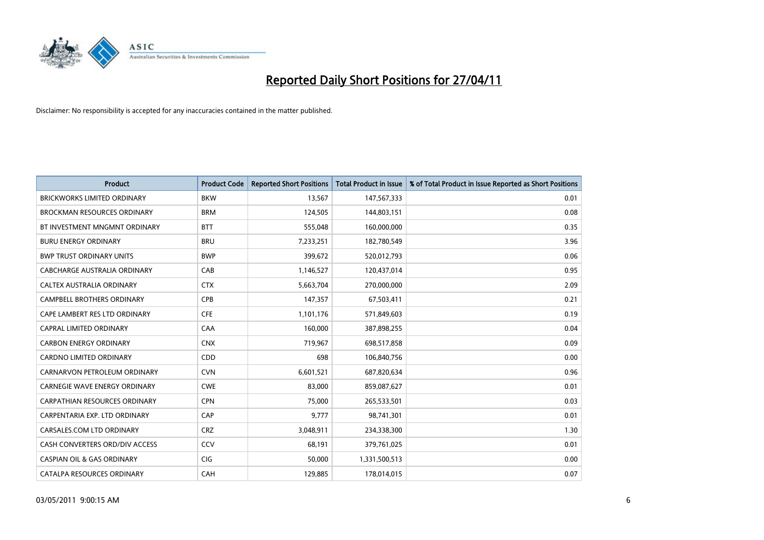

| <b>Product</b>                        | <b>Product Code</b> | <b>Reported Short Positions</b> | <b>Total Product in Issue</b> | % of Total Product in Issue Reported as Short Positions |
|---------------------------------------|---------------------|---------------------------------|-------------------------------|---------------------------------------------------------|
| <b>BRICKWORKS LIMITED ORDINARY</b>    | <b>BKW</b>          | 13,567                          | 147,567,333                   | 0.01                                                    |
| BROCKMAN RESOURCES ORDINARY           | <b>BRM</b>          | 124,505                         | 144,803,151                   | 0.08                                                    |
| BT INVESTMENT MNGMNT ORDINARY         | <b>BTT</b>          | 555,048                         | 160,000,000                   | 0.35                                                    |
| <b>BURU ENERGY ORDINARY</b>           | <b>BRU</b>          | 7,233,251                       | 182,780,549                   | 3.96                                                    |
| <b>BWP TRUST ORDINARY UNITS</b>       | <b>BWP</b>          | 399,672                         | 520,012,793                   | 0.06                                                    |
| CABCHARGE AUSTRALIA ORDINARY          | CAB                 | 1,146,527                       | 120,437,014                   | 0.95                                                    |
| CALTEX AUSTRALIA ORDINARY             | <b>CTX</b>          | 5,663,704                       | 270,000,000                   | 2.09                                                    |
| CAMPBELL BROTHERS ORDINARY            | <b>CPB</b>          | 147,357                         | 67,503,411                    | 0.21                                                    |
| CAPE LAMBERT RES LTD ORDINARY         | <b>CFE</b>          | 1,101,176                       | 571,849,603                   | 0.19                                                    |
| <b>CAPRAL LIMITED ORDINARY</b>        | CAA                 | 160,000                         | 387,898,255                   | 0.04                                                    |
| <b>CARBON ENERGY ORDINARY</b>         | <b>CNX</b>          | 719,967                         | 698,517,858                   | 0.09                                                    |
| <b>CARDNO LIMITED ORDINARY</b>        | CDD                 | 698                             | 106,840,756                   | 0.00                                                    |
| CARNARVON PETROLEUM ORDINARY          | <b>CVN</b>          | 6,601,521                       | 687,820,634                   | 0.96                                                    |
| <b>CARNEGIE WAVE ENERGY ORDINARY</b>  | <b>CWE</b>          | 83.000                          | 859,087,627                   | 0.01                                                    |
| <b>CARPATHIAN RESOURCES ORDINARY</b>  | <b>CPN</b>          | 75,000                          | 265,533,501                   | 0.03                                                    |
| CARPENTARIA EXP. LTD ORDINARY         | CAP                 | 9.777                           | 98,741,301                    | 0.01                                                    |
| CARSALES.COM LTD ORDINARY             | <b>CRZ</b>          | 3,048,911                       | 234,338,300                   | 1.30                                                    |
| CASH CONVERTERS ORD/DIV ACCESS        | CCV                 | 68,191                          | 379,761,025                   | 0.01                                                    |
| <b>CASPIAN OIL &amp; GAS ORDINARY</b> | CIG                 | 50,000                          | 1,331,500,513                 | 0.00                                                    |
| CATALPA RESOURCES ORDINARY            | CAH                 | 129,885                         | 178,014,015                   | 0.07                                                    |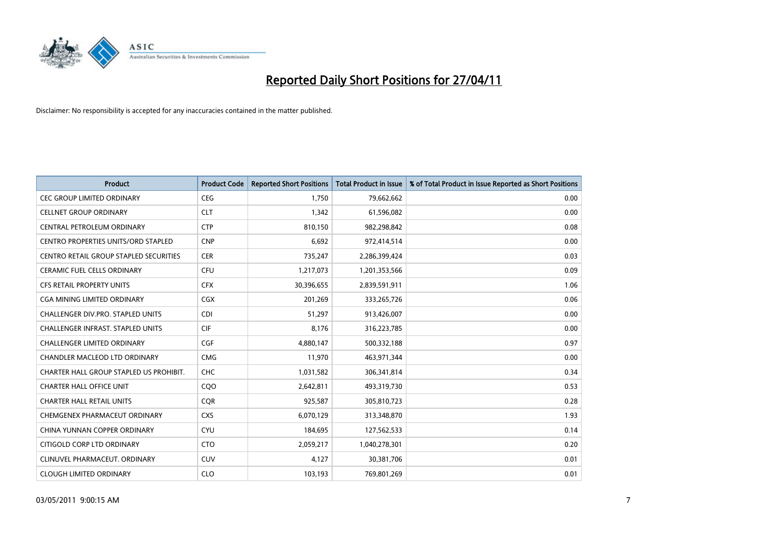

| <b>Product</b>                                | <b>Product Code</b> | <b>Reported Short Positions</b> | Total Product in Issue | % of Total Product in Issue Reported as Short Positions |
|-----------------------------------------------|---------------------|---------------------------------|------------------------|---------------------------------------------------------|
| <b>CEC GROUP LIMITED ORDINARY</b>             | <b>CEG</b>          | 1,750                           | 79,662,662             | 0.00                                                    |
| <b>CELLNET GROUP ORDINARY</b>                 | <b>CLT</b>          | 1,342                           | 61,596,082             | 0.00                                                    |
| CENTRAL PETROLEUM ORDINARY                    | <b>CTP</b>          | 810,150                         | 982,298,842            | 0.08                                                    |
| CENTRO PROPERTIES UNITS/ORD STAPLED           | <b>CNP</b>          | 6,692                           | 972,414,514            | 0.00                                                    |
| <b>CENTRO RETAIL GROUP STAPLED SECURITIES</b> | <b>CER</b>          | 735,247                         | 2,286,399,424          | 0.03                                                    |
| <b>CERAMIC FUEL CELLS ORDINARY</b>            | <b>CFU</b>          | 1,217,073                       | 1,201,353,566          | 0.09                                                    |
| <b>CFS RETAIL PROPERTY UNITS</b>              | <b>CFX</b>          | 30,396,655                      | 2,839,591,911          | 1.06                                                    |
| CGA MINING LIMITED ORDINARY                   | <b>CGX</b>          | 201,269                         | 333,265,726            | 0.06                                                    |
| <b>CHALLENGER DIV.PRO. STAPLED UNITS</b>      | <b>CDI</b>          | 51,297                          | 913,426,007            | 0.00                                                    |
| CHALLENGER INFRAST. STAPLED UNITS             | <b>CIF</b>          | 8,176                           | 316,223,785            | 0.00                                                    |
| CHALLENGER LIMITED ORDINARY                   | <b>CGF</b>          | 4,880,147                       | 500,332,188            | 0.97                                                    |
| CHANDLER MACLEOD LTD ORDINARY                 | <b>CMG</b>          | 11,970                          | 463,971,344            | 0.00                                                    |
| CHARTER HALL GROUP STAPLED US PROHIBIT.       | <b>CHC</b>          | 1,031,582                       | 306,341,814            | 0.34                                                    |
| <b>CHARTER HALL OFFICE UNIT</b>               | COO                 | 2,642,811                       | 493,319,730            | 0.53                                                    |
| <b>CHARTER HALL RETAIL UNITS</b>              | CQR                 | 925,587                         | 305,810,723            | 0.28                                                    |
| CHEMGENEX PHARMACEUT ORDINARY                 | <b>CXS</b>          | 6,070,129                       | 313,348,870            | 1.93                                                    |
| CHINA YUNNAN COPPER ORDINARY                  | <b>CYU</b>          | 184,695                         | 127,562,533            | 0.14                                                    |
| CITIGOLD CORP LTD ORDINARY                    | <b>CTO</b>          | 2,059,217                       | 1,040,278,301          | 0.20                                                    |
| CLINUVEL PHARMACEUT, ORDINARY                 | <b>CUV</b>          | 4,127                           | 30,381,706             | 0.01                                                    |
| <b>CLOUGH LIMITED ORDINARY</b>                | <b>CLO</b>          | 103,193                         | 769,801,269            | 0.01                                                    |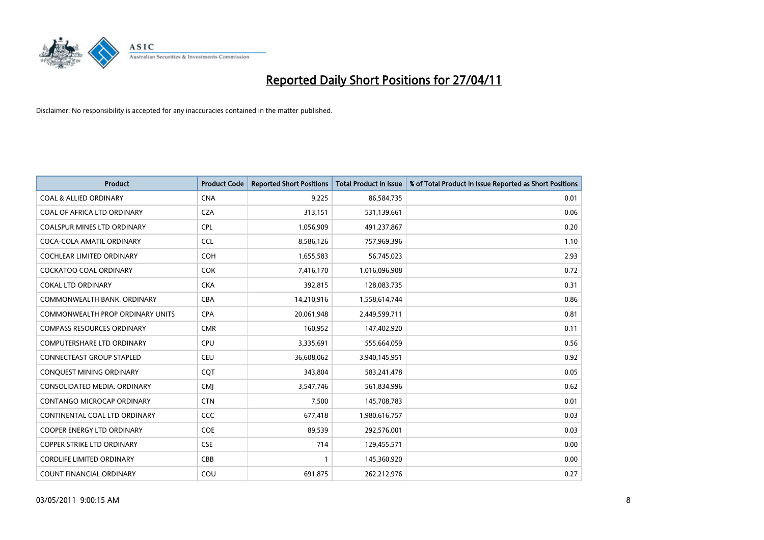

| <b>Product</b>                          | <b>Product Code</b> | <b>Reported Short Positions</b> | <b>Total Product in Issue</b> | % of Total Product in Issue Reported as Short Positions |
|-----------------------------------------|---------------------|---------------------------------|-------------------------------|---------------------------------------------------------|
| <b>COAL &amp; ALLIED ORDINARY</b>       | <b>CNA</b>          | 9,225                           | 86,584,735                    | 0.01                                                    |
| COAL OF AFRICA LTD ORDINARY             | <b>CZA</b>          | 313,151                         | 531,139,661                   | 0.06                                                    |
| <b>COALSPUR MINES LTD ORDINARY</b>      | <b>CPL</b>          | 1,056,909                       | 491,237,867                   | 0.20                                                    |
| COCA-COLA AMATIL ORDINARY               | <b>CCL</b>          | 8,586,126                       | 757,969,396                   | 1.10                                                    |
| <b>COCHLEAR LIMITED ORDINARY</b>        | <b>COH</b>          | 1,655,583                       | 56,745,023                    | 2.93                                                    |
| <b>COCKATOO COAL ORDINARY</b>           | <b>COK</b>          | 7,416,170                       | 1,016,096,908                 | 0.72                                                    |
| <b>COKAL LTD ORDINARY</b>               | <b>CKA</b>          | 392,815                         | 128,083,735                   | 0.31                                                    |
| COMMONWEALTH BANK, ORDINARY             | <b>CBA</b>          | 14,210,916                      | 1,558,614,744                 | 0.86                                                    |
| <b>COMMONWEALTH PROP ORDINARY UNITS</b> | <b>CPA</b>          | 20,061,948                      | 2,449,599,711                 | 0.81                                                    |
| <b>COMPASS RESOURCES ORDINARY</b>       | <b>CMR</b>          | 160,952                         | 147,402,920                   | 0.11                                                    |
| COMPUTERSHARE LTD ORDINARY              | <b>CPU</b>          | 3,335,691                       | 555,664,059                   | 0.56                                                    |
| <b>CONNECTEAST GROUP STAPLED</b>        | <b>CEU</b>          | 36,608,062                      | 3,940,145,951                 | 0.92                                                    |
| CONQUEST MINING ORDINARY                | <b>COT</b>          | 343,804                         | 583,241,478                   | 0.05                                                    |
| CONSOLIDATED MEDIA, ORDINARY            | <b>CMI</b>          | 3,547,746                       | 561,834,996                   | 0.62                                                    |
| <b>CONTANGO MICROCAP ORDINARY</b>       | <b>CTN</b>          | 7,500                           | 145,708,783                   | 0.01                                                    |
| CONTINENTAL COAL LTD ORDINARY           | CCC                 | 677,418                         | 1,980,616,757                 | 0.03                                                    |
| COOPER ENERGY LTD ORDINARY              | <b>COE</b>          | 89,539                          | 292,576,001                   | 0.03                                                    |
| <b>COPPER STRIKE LTD ORDINARY</b>       | <b>CSE</b>          | 714                             | 129,455,571                   | 0.00                                                    |
| <b>CORDLIFE LIMITED ORDINARY</b>        | CBB                 |                                 | 145,360,920                   | 0.00                                                    |
| COUNT FINANCIAL ORDINARY                | COU                 | 691,875                         | 262,212,976                   | 0.27                                                    |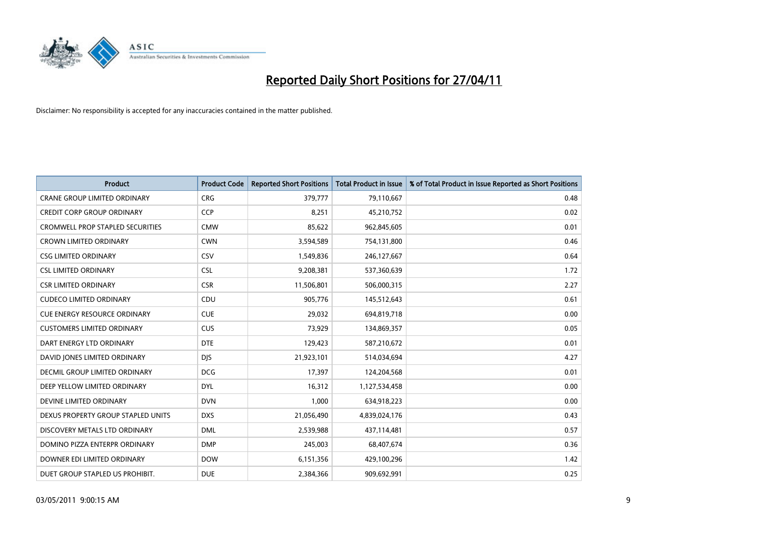

| <b>Product</b>                          | <b>Product Code</b> | <b>Reported Short Positions</b> | <b>Total Product in Issue</b> | % of Total Product in Issue Reported as Short Positions |
|-----------------------------------------|---------------------|---------------------------------|-------------------------------|---------------------------------------------------------|
| <b>CRANE GROUP LIMITED ORDINARY</b>     | <b>CRG</b>          | 379,777                         | 79,110,667                    | 0.48                                                    |
| <b>CREDIT CORP GROUP ORDINARY</b>       | <b>CCP</b>          | 8,251                           | 45,210,752                    | 0.02                                                    |
| <b>CROMWELL PROP STAPLED SECURITIES</b> | <b>CMW</b>          | 85,622                          | 962,845,605                   | 0.01                                                    |
| <b>CROWN LIMITED ORDINARY</b>           | <b>CWN</b>          | 3,594,589                       | 754,131,800                   | 0.46                                                    |
| <b>CSG LIMITED ORDINARY</b>             | CSV                 | 1,549,836                       | 246,127,667                   | 0.64                                                    |
| <b>CSL LIMITED ORDINARY</b>             | <b>CSL</b>          | 9,208,381                       | 537,360,639                   | 1.72                                                    |
| <b>CSR LIMITED ORDINARY</b>             | <b>CSR</b>          | 11,506,801                      | 506,000,315                   | 2.27                                                    |
| <b>CUDECO LIMITED ORDINARY</b>          | CDU                 | 905,776                         | 145,512,643                   | 0.61                                                    |
| CUE ENERGY RESOURCE ORDINARY            | <b>CUE</b>          | 29,032                          | 694,819,718                   | 0.00                                                    |
| <b>CUSTOMERS LIMITED ORDINARY</b>       | <b>CUS</b>          | 73,929                          | 134,869,357                   | 0.05                                                    |
| DART ENERGY LTD ORDINARY                | <b>DTE</b>          | 129,423                         | 587,210,672                   | 0.01                                                    |
| DAVID JONES LIMITED ORDINARY            | <b>DJS</b>          | 21,923,101                      | 514,034,694                   | 4.27                                                    |
| <b>DECMIL GROUP LIMITED ORDINARY</b>    | <b>DCG</b>          | 17.397                          | 124,204,568                   | 0.01                                                    |
| DEEP YELLOW LIMITED ORDINARY            | <b>DYL</b>          | 16,312                          | 1,127,534,458                 | 0.00                                                    |
| DEVINE LIMITED ORDINARY                 | <b>DVN</b>          | 1,000                           | 634,918,223                   | 0.00                                                    |
| DEXUS PROPERTY GROUP STAPLED UNITS      | <b>DXS</b>          | 21,056,490                      | 4,839,024,176                 | 0.43                                                    |
| DISCOVERY METALS LTD ORDINARY           | <b>DML</b>          | 2,539,988                       | 437,114,481                   | 0.57                                                    |
| DOMINO PIZZA ENTERPR ORDINARY           | <b>DMP</b>          | 245,003                         | 68,407,674                    | 0.36                                                    |
| DOWNER EDI LIMITED ORDINARY             | <b>DOW</b>          | 6,151,356                       | 429,100,296                   | 1.42                                                    |
| DUET GROUP STAPLED US PROHIBIT.         | <b>DUE</b>          | 2,384,366                       | 909,692,991                   | 0.25                                                    |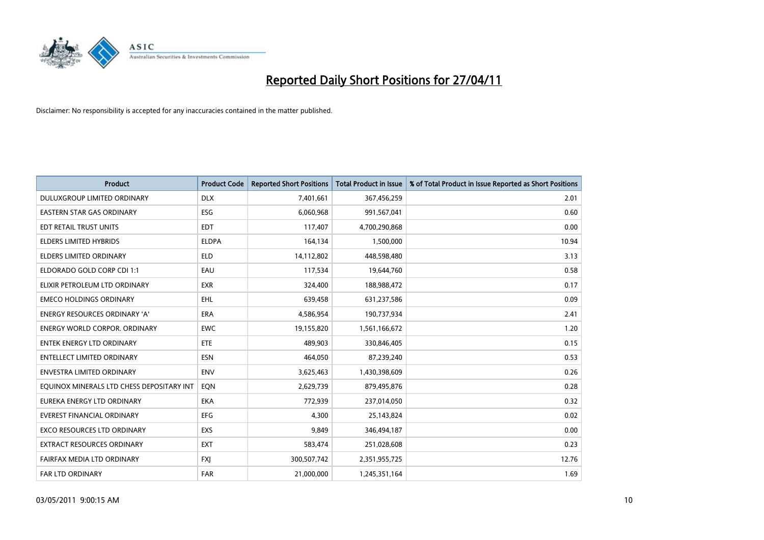

| <b>Product</b>                            | <b>Product Code</b> | <b>Reported Short Positions</b> | <b>Total Product in Issue</b> | % of Total Product in Issue Reported as Short Positions |
|-------------------------------------------|---------------------|---------------------------------|-------------------------------|---------------------------------------------------------|
| DULUXGROUP LIMITED ORDINARY               | <b>DLX</b>          | 7,401,661                       | 367,456,259                   | 2.01                                                    |
| EASTERN STAR GAS ORDINARY                 | ESG                 | 6,060,968                       | 991,567,041                   | 0.60                                                    |
| EDT RETAIL TRUST UNITS                    | <b>EDT</b>          | 117,407                         | 4,700,290,868                 | 0.00                                                    |
| ELDERS LIMITED HYBRIDS                    | <b>ELDPA</b>        | 164,134                         | 1,500,000                     | 10.94                                                   |
| <b>ELDERS LIMITED ORDINARY</b>            | <b>ELD</b>          | 14,112,802                      | 448,598,480                   | 3.13                                                    |
| ELDORADO GOLD CORP CDI 1:1                | EAU                 | 117,534                         | 19,644,760                    | 0.58                                                    |
| ELIXIR PETROLEUM LTD ORDINARY             | <b>EXR</b>          | 324,400                         | 188,988,472                   | 0.17                                                    |
| <b>EMECO HOLDINGS ORDINARY</b>            | <b>EHL</b>          | 639,458                         | 631,237,586                   | 0.09                                                    |
| <b>ENERGY RESOURCES ORDINARY 'A'</b>      | ERA                 | 4,586,954                       | 190,737,934                   | 2.41                                                    |
| <b>ENERGY WORLD CORPOR, ORDINARY</b>      | <b>EWC</b>          | 19,155,820                      | 1,561,166,672                 | 1.20                                                    |
| <b>ENTEK ENERGY LTD ORDINARY</b>          | <b>ETE</b>          | 489,903                         | 330,846,405                   | 0.15                                                    |
| ENTELLECT LIMITED ORDINARY                | <b>ESN</b>          | 464,050                         | 87,239,240                    | 0.53                                                    |
| <b>ENVESTRA LIMITED ORDINARY</b>          | <b>ENV</b>          | 3,625,463                       | 1,430,398,609                 | 0.26                                                    |
| EQUINOX MINERALS LTD CHESS DEPOSITARY INT | EQN                 | 2,629,739                       | 879,495,876                   | 0.28                                                    |
| EUREKA ENERGY LTD ORDINARY                | <b>EKA</b>          | 772,939                         | 237,014,050                   | 0.32                                                    |
| <b>EVEREST FINANCIAL ORDINARY</b>         | EFG                 | 4.300                           | 25,143,824                    | 0.02                                                    |
| <b>EXCO RESOURCES LTD ORDINARY</b>        | EXS                 | 9,849                           | 346,494,187                   | 0.00                                                    |
| EXTRACT RESOURCES ORDINARY                | <b>EXT</b>          | 583,474                         | 251,028,608                   | 0.23                                                    |
| FAIRFAX MEDIA LTD ORDINARY                | <b>FXI</b>          | 300,507,742                     | 2,351,955,725                 | 12.76                                                   |
| FAR LTD ORDINARY                          | <b>FAR</b>          | 21,000,000                      | 1,245,351,164                 | 1.69                                                    |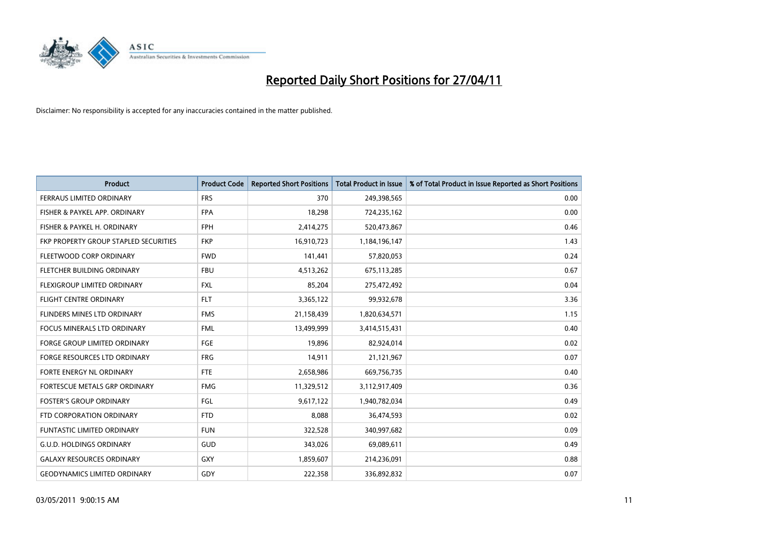

| <b>Product</b>                        | <b>Product Code</b> | <b>Reported Short Positions</b> | <b>Total Product in Issue</b> | % of Total Product in Issue Reported as Short Positions |
|---------------------------------------|---------------------|---------------------------------|-------------------------------|---------------------------------------------------------|
| <b>FERRAUS LIMITED ORDINARY</b>       | <b>FRS</b>          | 370                             | 249,398,565                   | 0.00                                                    |
| FISHER & PAYKEL APP. ORDINARY         | <b>FPA</b>          | 18,298                          | 724,235,162                   | 0.00                                                    |
| FISHER & PAYKEL H. ORDINARY           | <b>FPH</b>          | 2,414,275                       | 520,473,867                   | 0.46                                                    |
| FKP PROPERTY GROUP STAPLED SECURITIES | <b>FKP</b>          | 16,910,723                      | 1,184,196,147                 | 1.43                                                    |
| FLEETWOOD CORP ORDINARY               | <b>FWD</b>          | 141,441                         | 57,820,053                    | 0.24                                                    |
| FLETCHER BUILDING ORDINARY            | <b>FBU</b>          | 4,513,262                       | 675,113,285                   | 0.67                                                    |
| FLEXIGROUP LIMITED ORDINARY           | <b>FXL</b>          | 85,204                          | 275,472,492                   | 0.04                                                    |
| <b>FLIGHT CENTRE ORDINARY</b>         | <b>FLT</b>          | 3,365,122                       | 99,932,678                    | 3.36                                                    |
| FLINDERS MINES LTD ORDINARY           | <b>FMS</b>          | 21,158,439                      | 1,820,634,571                 | 1.15                                                    |
| <b>FOCUS MINERALS LTD ORDINARY</b>    | <b>FML</b>          | 13,499,999                      | 3,414,515,431                 | 0.40                                                    |
| FORGE GROUP LIMITED ORDINARY          | <b>FGE</b>          | 19,896                          | 82,924,014                    | 0.02                                                    |
| FORGE RESOURCES LTD ORDINARY          | <b>FRG</b>          | 14,911                          | 21,121,967                    | 0.07                                                    |
| FORTE ENERGY NL ORDINARY              | <b>FTE</b>          | 2,658,986                       | 669,756,735                   | 0.40                                                    |
| FORTESCUE METALS GRP ORDINARY         | <b>FMG</b>          | 11,329,512                      | 3,112,917,409                 | 0.36                                                    |
| <b>FOSTER'S GROUP ORDINARY</b>        | FGL                 | 9,617,122                       | 1,940,782,034                 | 0.49                                                    |
| FTD CORPORATION ORDINARY              | <b>FTD</b>          | 8,088                           | 36,474,593                    | 0.02                                                    |
| FUNTASTIC LIMITED ORDINARY            | <b>FUN</b>          | 322,528                         | 340,997,682                   | 0.09                                                    |
| <b>G.U.D. HOLDINGS ORDINARY</b>       | <b>GUD</b>          | 343,026                         | 69,089,611                    | 0.49                                                    |
| <b>GALAXY RESOURCES ORDINARY</b>      | <b>GXY</b>          | 1,859,607                       | 214,236,091                   | 0.88                                                    |
| <b>GEODYNAMICS LIMITED ORDINARY</b>   | GDY                 | 222,358                         | 336,892,832                   | 0.07                                                    |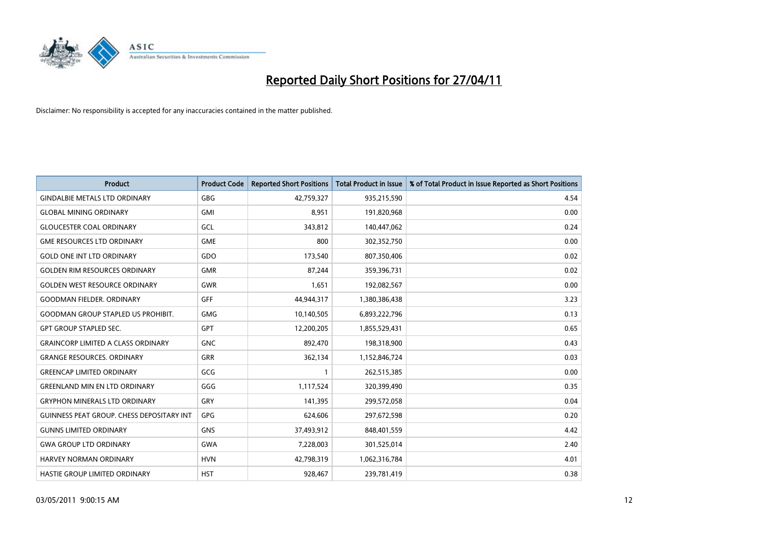

| <b>Product</b>                            | <b>Product Code</b> | <b>Reported Short Positions</b> | <b>Total Product in Issue</b> | % of Total Product in Issue Reported as Short Positions |
|-------------------------------------------|---------------------|---------------------------------|-------------------------------|---------------------------------------------------------|
| <b>GINDALBIE METALS LTD ORDINARY</b>      | <b>GBG</b>          | 42,759,327                      | 935,215,590                   | 4.54                                                    |
| <b>GLOBAL MINING ORDINARY</b>             | GMI                 | 8,951                           | 191,820,968                   | 0.00                                                    |
| <b>GLOUCESTER COAL ORDINARY</b>           | GCL                 | 343,812                         | 140,447,062                   | 0.24                                                    |
| <b>GME RESOURCES LTD ORDINARY</b>         | <b>GME</b>          | 800                             | 302,352,750                   | 0.00                                                    |
| <b>GOLD ONE INT LTD ORDINARY</b>          | GDO                 | 173,540                         | 807,350,406                   | 0.02                                                    |
| <b>GOLDEN RIM RESOURCES ORDINARY</b>      | <b>GMR</b>          | 87,244                          | 359,396,731                   | 0.02                                                    |
| <b>GOLDEN WEST RESOURCE ORDINARY</b>      | <b>GWR</b>          | 1,651                           | 192,082,567                   | 0.00                                                    |
| <b>GOODMAN FIELDER, ORDINARY</b>          | GFF                 | 44,944,317                      | 1,380,386,438                 | 3.23                                                    |
| <b>GOODMAN GROUP STAPLED US PROHIBIT.</b> | <b>GMG</b>          | 10,140,505                      | 6,893,222,796                 | 0.13                                                    |
| <b>GPT GROUP STAPLED SEC.</b>             | <b>GPT</b>          | 12,200,205                      | 1,855,529,431                 | 0.65                                                    |
| <b>GRAINCORP LIMITED A CLASS ORDINARY</b> | <b>GNC</b>          | 892,470                         | 198,318,900                   | 0.43                                                    |
| <b>GRANGE RESOURCES, ORDINARY</b>         | <b>GRR</b>          | 362,134                         | 1,152,846,724                 | 0.03                                                    |
| <b>GREENCAP LIMITED ORDINARY</b>          | GCG                 |                                 | 262,515,385                   | 0.00                                                    |
| <b>GREENLAND MIN EN LTD ORDINARY</b>      | GGG                 | 1,117,524                       | 320,399,490                   | 0.35                                                    |
| <b>GRYPHON MINERALS LTD ORDINARY</b>      | GRY                 | 141,395                         | 299,572,058                   | 0.04                                                    |
| GUINNESS PEAT GROUP. CHESS DEPOSITARY INT | <b>GPG</b>          | 624,606                         | 297,672,598                   | 0.20                                                    |
| <b>GUNNS LIMITED ORDINARY</b>             | <b>GNS</b>          | 37,493,912                      | 848,401,559                   | 4.42                                                    |
| <b>GWA GROUP LTD ORDINARY</b>             | <b>GWA</b>          | 7,228,003                       | 301,525,014                   | 2.40                                                    |
| <b>HARVEY NORMAN ORDINARY</b>             | <b>HVN</b>          | 42,798,319                      | 1,062,316,784                 | 4.01                                                    |
| HASTIE GROUP LIMITED ORDINARY             | <b>HST</b>          | 928.467                         | 239,781,419                   | 0.38                                                    |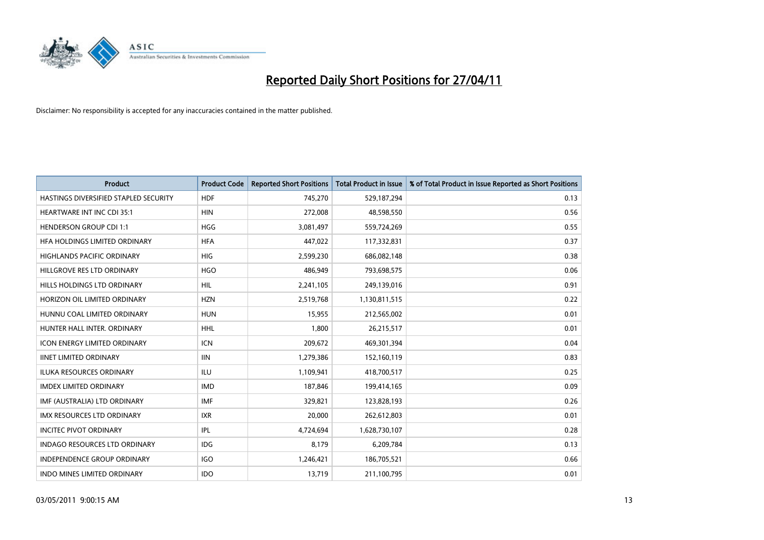

| <b>Product</b>                        | <b>Product Code</b> | <b>Reported Short Positions</b> | <b>Total Product in Issue</b> | % of Total Product in Issue Reported as Short Positions |
|---------------------------------------|---------------------|---------------------------------|-------------------------------|---------------------------------------------------------|
| HASTINGS DIVERSIFIED STAPLED SECURITY | <b>HDF</b>          | 745,270                         | 529,187,294                   | 0.13                                                    |
| <b>HEARTWARE INT INC CDI 35:1</b>     | <b>HIN</b>          | 272,008                         | 48,598,550                    | 0.56                                                    |
| <b>HENDERSON GROUP CDI 1:1</b>        | <b>HGG</b>          | 3,081,497                       | 559,724,269                   | 0.55                                                    |
| HFA HOLDINGS LIMITED ORDINARY         | <b>HFA</b>          | 447,022                         | 117,332,831                   | 0.37                                                    |
| <b>HIGHLANDS PACIFIC ORDINARY</b>     | <b>HIG</b>          | 2,599,230                       | 686,082,148                   | 0.38                                                    |
| HILLGROVE RES LTD ORDINARY            | <b>HGO</b>          | 486.949                         | 793,698,575                   | 0.06                                                    |
| HILLS HOLDINGS LTD ORDINARY           | <b>HIL</b>          | 2,241,105                       | 249,139,016                   | 0.91                                                    |
| HORIZON OIL LIMITED ORDINARY          | <b>HZN</b>          | 2,519,768                       | 1,130,811,515                 | 0.22                                                    |
| HUNNU COAL LIMITED ORDINARY           | <b>HUN</b>          | 15,955                          | 212,565,002                   | 0.01                                                    |
| HUNTER HALL INTER, ORDINARY           | <b>HHL</b>          | 1,800                           | 26,215,517                    | 0.01                                                    |
| ICON ENERGY LIMITED ORDINARY          | <b>ICN</b>          | 209,672                         | 469,301,394                   | 0.04                                                    |
| <b>IINET LIMITED ORDINARY</b>         | <b>IIN</b>          | 1,279,386                       | 152,160,119                   | 0.83                                                    |
| ILUKA RESOURCES ORDINARY              | ILU                 | 1,109,941                       | 418,700,517                   | 0.25                                                    |
| <b>IMDEX LIMITED ORDINARY</b>         | <b>IMD</b>          | 187,846                         | 199,414,165                   | 0.09                                                    |
| IMF (AUSTRALIA) LTD ORDINARY          | <b>IMF</b>          | 329,821                         | 123,828,193                   | 0.26                                                    |
| <b>IMX RESOURCES LTD ORDINARY</b>     | <b>IXR</b>          | 20,000                          | 262,612,803                   | 0.01                                                    |
| <b>INCITEC PIVOT ORDINARY</b>         | <b>IPL</b>          | 4,724,694                       | 1,628,730,107                 | 0.28                                                    |
| INDAGO RESOURCES LTD ORDINARY         | IDG                 | 8,179                           | 6,209,784                     | 0.13                                                    |
| <b>INDEPENDENCE GROUP ORDINARY</b>    | <b>IGO</b>          | 1,246,421                       | 186,705,521                   | 0.66                                                    |
| INDO MINES LIMITED ORDINARY           | <b>IDO</b>          | 13,719                          | 211,100,795                   | 0.01                                                    |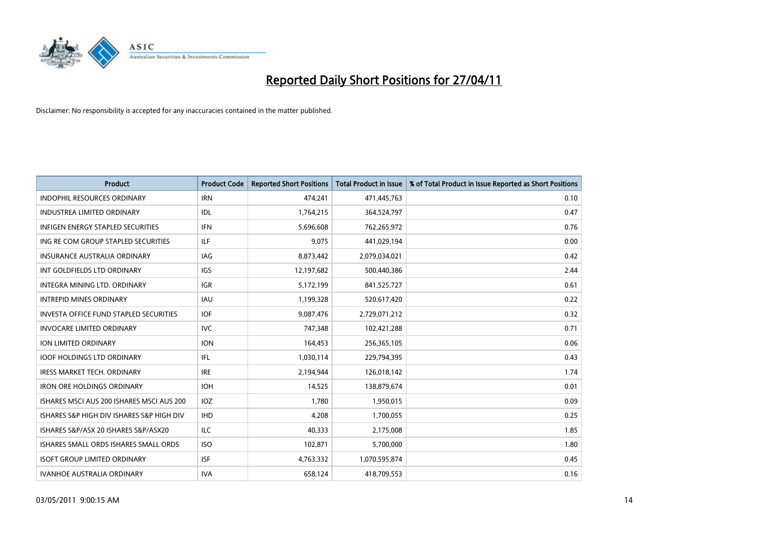

| <b>Product</b>                            | <b>Product Code</b> | <b>Reported Short Positions</b> | Total Product in Issue | % of Total Product in Issue Reported as Short Positions |
|-------------------------------------------|---------------------|---------------------------------|------------------------|---------------------------------------------------------|
| <b>INDOPHIL RESOURCES ORDINARY</b>        | <b>IRN</b>          | 474,241                         | 471,445,763            | 0.10                                                    |
| INDUSTREA LIMITED ORDINARY                | IDL                 | 1,764,215                       | 364,524,797            | 0.47                                                    |
| <b>INFIGEN ENERGY STAPLED SECURITIES</b>  | <b>IFN</b>          | 5,696,608                       | 762,265,972            | 0.76                                                    |
| ING RE COM GROUP STAPLED SECURITIES       | <b>ILF</b>          | 9,075                           | 441,029,194            | 0.00                                                    |
| <b>INSURANCE AUSTRALIA ORDINARY</b>       | IAG                 | 8,873,442                       | 2,079,034,021          | 0.42                                                    |
| INT GOLDFIELDS LTD ORDINARY               | <b>IGS</b>          | 12,197,682                      | 500,440,386            | 2.44                                                    |
| INTEGRA MINING LTD. ORDINARY              | <b>IGR</b>          | 5,172,199                       | 841,525,727            | 0.61                                                    |
| <b>INTREPID MINES ORDINARY</b>            | <b>IAU</b>          | 1,199,328                       | 520,617,420            | 0.22                                                    |
| INVESTA OFFICE FUND STAPLED SECURITIES    | IOF                 | 9,087,476                       | 2,729,071,212          | 0.32                                                    |
| <b>INVOCARE LIMITED ORDINARY</b>          | <b>IVC</b>          | 747,348                         | 102,421,288            | 0.71                                                    |
| ION LIMITED ORDINARY                      | <b>ION</b>          | 164,453                         | 256,365,105            | 0.06                                                    |
| <b>IOOF HOLDINGS LTD ORDINARY</b>         | <b>IFL</b>          | 1,030,114                       | 229,794,395            | 0.43                                                    |
| <b>IRESS MARKET TECH. ORDINARY</b>        | <b>IRE</b>          | 2,194,944                       | 126,018,142            | 1.74                                                    |
| <b>IRON ORE HOLDINGS ORDINARY</b>         | <b>IOH</b>          | 14,525                          | 138,879,674            | 0.01                                                    |
| ISHARES MSCI AUS 200 ISHARES MSCI AUS 200 | <b>IOZ</b>          | 1,780                           | 1,950,015              | 0.09                                                    |
| ISHARES S&P HIGH DIV ISHARES S&P HIGH DIV | <b>IHD</b>          | 4,208                           | 1,700,055              | 0.25                                                    |
| ISHARES S&P/ASX 20 ISHARES S&P/ASX20      | <b>ILC</b>          | 40,333                          | 2,175,008              | 1.85                                                    |
| ISHARES SMALL ORDS ISHARES SMALL ORDS     | <b>ISO</b>          | 102,871                         | 5,700,000              | 1.80                                                    |
| <b>ISOFT GROUP LIMITED ORDINARY</b>       | <b>ISF</b>          | 4,763,332                       | 1,070,595,874          | 0.45                                                    |
| <b>IVANHOE AUSTRALIA ORDINARY</b>         | <b>IVA</b>          | 658,124                         | 418,709,553            | 0.16                                                    |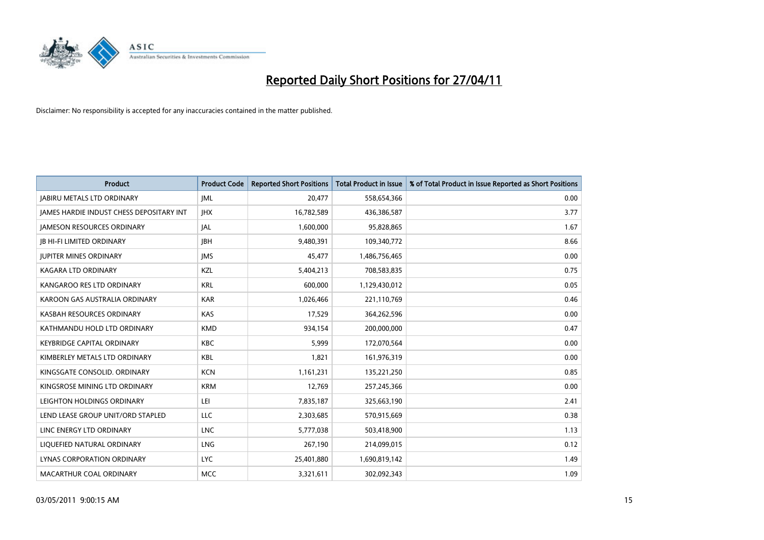

| <b>Product</b>                                  | <b>Product Code</b> | <b>Reported Short Positions</b> | <b>Total Product in Issue</b> | % of Total Product in Issue Reported as Short Positions |
|-------------------------------------------------|---------------------|---------------------------------|-------------------------------|---------------------------------------------------------|
| <b>JABIRU METALS LTD ORDINARY</b>               | <b>JML</b>          | 20,477                          | 558,654,366                   | 0.00                                                    |
| <b>IAMES HARDIE INDUST CHESS DEPOSITARY INT</b> | <b>IHX</b>          | 16,782,589                      | 436,386,587                   | 3.77                                                    |
| <b>JAMESON RESOURCES ORDINARY</b>               | JAL                 | 1,600,000                       | 95,828,865                    | 1.67                                                    |
| <b>JB HI-FI LIMITED ORDINARY</b>                | <b>IBH</b>          | 9,480,391                       | 109,340,772                   | 8.66                                                    |
| <b>IUPITER MINES ORDINARY</b>                   | <b>IMS</b>          | 45.477                          | 1,486,756,465                 | 0.00                                                    |
| KAGARA LTD ORDINARY                             | KZL                 | 5,404,213                       | 708,583,835                   | 0.75                                                    |
| KANGAROO RES LTD ORDINARY                       | <b>KRL</b>          | 600.000                         | 1,129,430,012                 | 0.05                                                    |
| KAROON GAS AUSTRALIA ORDINARY                   | <b>KAR</b>          | 1,026,466                       | 221,110,769                   | 0.46                                                    |
| KASBAH RESOURCES ORDINARY                       | <b>KAS</b>          | 17,529                          | 364,262,596                   | 0.00                                                    |
| KATHMANDU HOLD LTD ORDINARY                     | <b>KMD</b>          | 934,154                         | 200,000,000                   | 0.47                                                    |
| <b>KEYBRIDGE CAPITAL ORDINARY</b>               | <b>KBC</b>          | 5,999                           | 172,070,564                   | 0.00                                                    |
| KIMBERLEY METALS LTD ORDINARY                   | <b>KBL</b>          | 1,821                           | 161,976,319                   | 0.00                                                    |
| KINGSGATE CONSOLID. ORDINARY                    | <b>KCN</b>          | 1,161,231                       | 135,221,250                   | 0.85                                                    |
| KINGSROSE MINING LTD ORDINARY                   | <b>KRM</b>          | 12,769                          | 257,245,366                   | 0.00                                                    |
| LEIGHTON HOLDINGS ORDINARY                      | LEI                 | 7,835,187                       | 325,663,190                   | 2.41                                                    |
| LEND LEASE GROUP UNIT/ORD STAPLED               | <b>LLC</b>          | 2,303,685                       | 570,915,669                   | 0.38                                                    |
| LINC ENERGY LTD ORDINARY                        | <b>LNC</b>          | 5,777,038                       | 503,418,900                   | 1.13                                                    |
| LIQUEFIED NATURAL ORDINARY                      | LNG                 | 267,190                         | 214,099,015                   | 0.12                                                    |
| LYNAS CORPORATION ORDINARY                      | <b>LYC</b>          | 25,401,880                      | 1,690,819,142                 | 1.49                                                    |
| MACARTHUR COAL ORDINARY                         | <b>MCC</b>          | 3,321,611                       | 302,092,343                   | 1.09                                                    |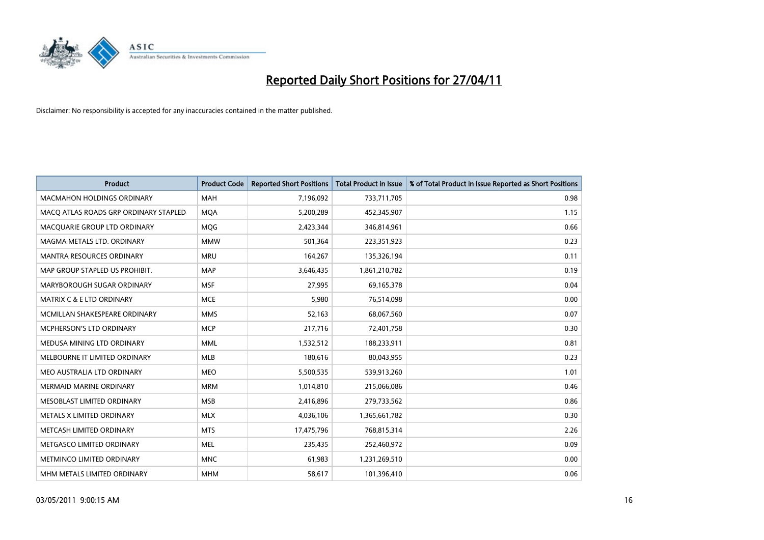

| <b>Product</b>                        | <b>Product Code</b> | <b>Reported Short Positions</b> | <b>Total Product in Issue</b> | % of Total Product in Issue Reported as Short Positions |
|---------------------------------------|---------------------|---------------------------------|-------------------------------|---------------------------------------------------------|
| <b>MACMAHON HOLDINGS ORDINARY</b>     | <b>MAH</b>          | 7,196,092                       | 733,711,705                   | 0.98                                                    |
| MACO ATLAS ROADS GRP ORDINARY STAPLED | <b>MQA</b>          | 5,200,289                       | 452,345,907                   | 1.15                                                    |
| MACQUARIE GROUP LTD ORDINARY          | MQG                 | 2,423,344                       | 346,814,961                   | 0.66                                                    |
| MAGMA METALS LTD. ORDINARY            | <b>MMW</b>          | 501,364                         | 223,351,923                   | 0.23                                                    |
| <b>MANTRA RESOURCES ORDINARY</b>      | <b>MRU</b>          | 164,267                         | 135,326,194                   | 0.11                                                    |
| MAP GROUP STAPLED US PROHIBIT.        | <b>MAP</b>          | 3,646,435                       | 1,861,210,782                 | 0.19                                                    |
| MARYBOROUGH SUGAR ORDINARY            | <b>MSF</b>          | 27,995                          | 69,165,378                    | 0.04                                                    |
| MATRIX C & E LTD ORDINARY             | <b>MCE</b>          | 5,980                           | 76,514,098                    | 0.00                                                    |
| MCMILLAN SHAKESPEARE ORDINARY         | <b>MMS</b>          | 52,163                          | 68,067,560                    | 0.07                                                    |
| <b>MCPHERSON'S LTD ORDINARY</b>       | <b>MCP</b>          | 217,716                         | 72,401,758                    | 0.30                                                    |
| MEDUSA MINING LTD ORDINARY            | <b>MML</b>          | 1,532,512                       | 188,233,911                   | 0.81                                                    |
| MELBOURNE IT LIMITED ORDINARY         | MLB                 | 180,616                         | 80,043,955                    | 0.23                                                    |
| MEO AUSTRALIA LTD ORDINARY            | <b>MEO</b>          | 5,500,535                       | 539,913,260                   | 1.01                                                    |
| <b>MERMAID MARINE ORDINARY</b>        | <b>MRM</b>          | 1,014,810                       | 215,066,086                   | 0.46                                                    |
| MESOBLAST LIMITED ORDINARY            | <b>MSB</b>          | 2,416,896                       | 279,733,562                   | 0.86                                                    |
| METALS X LIMITED ORDINARY             | <b>MLX</b>          | 4,036,106                       | 1,365,661,782                 | 0.30                                                    |
| METCASH LIMITED ORDINARY              | <b>MTS</b>          | 17,475,796                      | 768,815,314                   | 2.26                                                    |
| METGASCO LIMITED ORDINARY             | <b>MEL</b>          | 235,435                         | 252,460,972                   | 0.09                                                    |
| METMINCO LIMITED ORDINARY             | <b>MNC</b>          | 61,983                          | 1,231,269,510                 | 0.00                                                    |
| MHM METALS LIMITED ORDINARY           | <b>MHM</b>          | 58,617                          | 101,396,410                   | 0.06                                                    |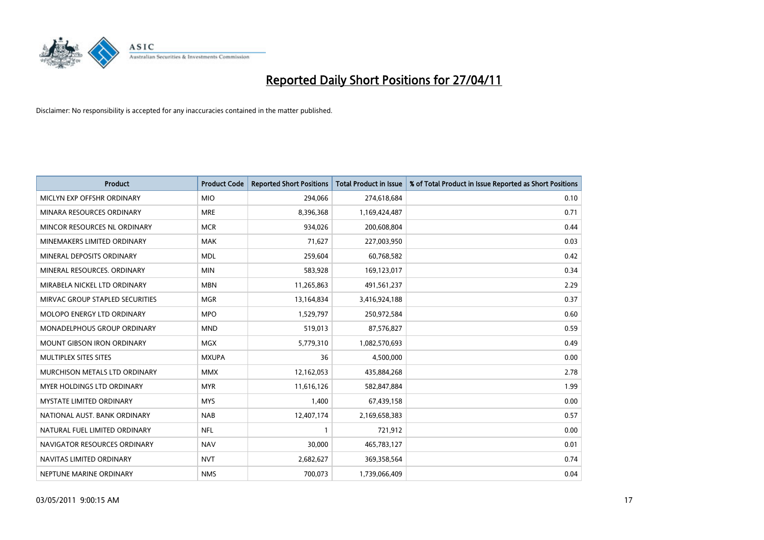

| <b>Product</b>                     | <b>Product Code</b> | <b>Reported Short Positions</b> | Total Product in Issue | % of Total Product in Issue Reported as Short Positions |
|------------------------------------|---------------------|---------------------------------|------------------------|---------------------------------------------------------|
| MICLYN EXP OFFSHR ORDINARY         | <b>MIO</b>          | 294,066                         | 274,618,684            | 0.10                                                    |
| MINARA RESOURCES ORDINARY          | <b>MRE</b>          | 8,396,368                       | 1,169,424,487          | 0.71                                                    |
| MINCOR RESOURCES NL ORDINARY       | <b>MCR</b>          | 934,026                         | 200,608,804            | 0.44                                                    |
| MINEMAKERS LIMITED ORDINARY        | <b>MAK</b>          | 71,627                          | 227,003,950            | 0.03                                                    |
| MINERAL DEPOSITS ORDINARY          | <b>MDL</b>          | 259,604                         | 60,768,582             | 0.42                                                    |
| MINERAL RESOURCES, ORDINARY        | <b>MIN</b>          | 583,928                         | 169,123,017            | 0.34                                                    |
| MIRABELA NICKEL LTD ORDINARY       | <b>MBN</b>          | 11,265,863                      | 491,561,237            | 2.29                                                    |
| MIRVAC GROUP STAPLED SECURITIES    | <b>MGR</b>          | 13,164,834                      | 3,416,924,188          | 0.37                                                    |
| MOLOPO ENERGY LTD ORDINARY         | <b>MPO</b>          | 1,529,797                       | 250,972,584            | 0.60                                                    |
| <b>MONADELPHOUS GROUP ORDINARY</b> | <b>MND</b>          | 519,013                         | 87,576,827             | 0.59                                                    |
| <b>MOUNT GIBSON IRON ORDINARY</b>  | <b>MGX</b>          | 5,779,310                       | 1,082,570,693          | 0.49                                                    |
| MULTIPLEX SITES SITES              | <b>MXUPA</b>        | 36                              | 4,500,000              | 0.00                                                    |
| MURCHISON METALS LTD ORDINARY      | <b>MMX</b>          | 12,162,053                      | 435,884,268            | 2.78                                                    |
| MYER HOLDINGS LTD ORDINARY         | <b>MYR</b>          | 11,616,126                      | 582,847,884            | 1.99                                                    |
| <b>MYSTATE LIMITED ORDINARY</b>    | <b>MYS</b>          | 1,400                           | 67,439,158             | 0.00                                                    |
| NATIONAL AUST. BANK ORDINARY       | <b>NAB</b>          | 12,407,174                      | 2,169,658,383          | 0.57                                                    |
| NATURAL FUEL LIMITED ORDINARY      | <b>NFL</b>          |                                 | 721,912                | 0.00                                                    |
| NAVIGATOR RESOURCES ORDINARY       | <b>NAV</b>          | 30,000                          | 465,783,127            | 0.01                                                    |
| NAVITAS LIMITED ORDINARY           | <b>NVT</b>          | 2,682,627                       | 369,358,564            | 0.74                                                    |
| NEPTUNE MARINE ORDINARY            | <b>NMS</b>          | 700.073                         | 1,739,066,409          | 0.04                                                    |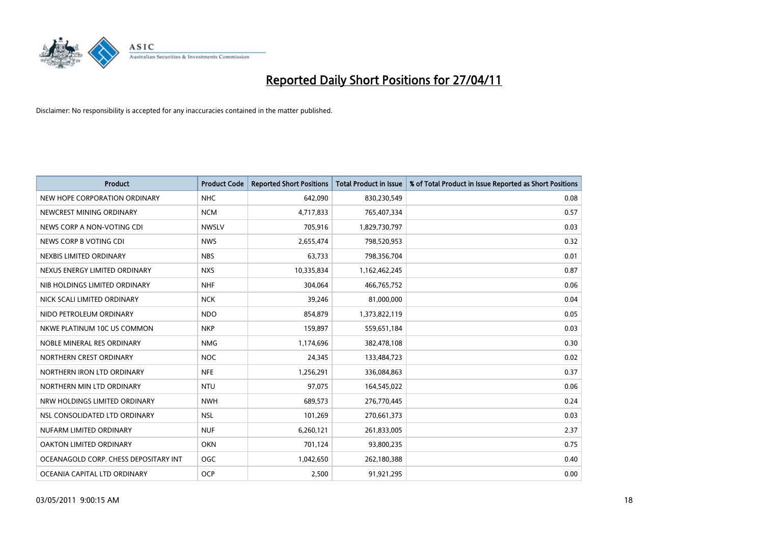

| <b>Product</b>                        | <b>Product Code</b> | <b>Reported Short Positions</b> | <b>Total Product in Issue</b> | % of Total Product in Issue Reported as Short Positions |
|---------------------------------------|---------------------|---------------------------------|-------------------------------|---------------------------------------------------------|
| NEW HOPE CORPORATION ORDINARY         | <b>NHC</b>          | 642,090                         | 830,230,549                   | 0.08                                                    |
| NEWCREST MINING ORDINARY              | <b>NCM</b>          | 4,717,833                       | 765,407,334                   | 0.57                                                    |
| NEWS CORP A NON-VOTING CDI            | <b>NWSLV</b>        | 705,916                         | 1,829,730,797                 | 0.03                                                    |
| NEWS CORP B VOTING CDI                | <b>NWS</b>          | 2,655,474                       | 798,520,953                   | 0.32                                                    |
| NEXBIS LIMITED ORDINARY               | <b>NBS</b>          | 63,733                          | 798,356,704                   | 0.01                                                    |
| NEXUS ENERGY LIMITED ORDINARY         | <b>NXS</b>          | 10,335,834                      | 1,162,462,245                 | 0.87                                                    |
| NIB HOLDINGS LIMITED ORDINARY         | <b>NHF</b>          | 304,064                         | 466,765,752                   | 0.06                                                    |
| NICK SCALI LIMITED ORDINARY           | <b>NCK</b>          | 39,246                          | 81,000,000                    | 0.04                                                    |
| NIDO PETROLEUM ORDINARY               | <b>NDO</b>          | 854,879                         | 1,373,822,119                 | 0.05                                                    |
| NKWE PLATINUM 10C US COMMON           | <b>NKP</b>          | 159,897                         | 559,651,184                   | 0.03                                                    |
| NOBLE MINERAL RES ORDINARY            | <b>NMG</b>          | 1,174,696                       | 382,478,108                   | 0.30                                                    |
| NORTHERN CREST ORDINARY               | <b>NOC</b>          | 24,345                          | 133,484,723                   | 0.02                                                    |
| NORTHERN IRON LTD ORDINARY            | <b>NFE</b>          | 1,256,291                       | 336,084,863                   | 0.37                                                    |
| NORTHERN MIN LTD ORDINARY             | <b>NTU</b>          | 97,075                          | 164,545,022                   | 0.06                                                    |
| NRW HOLDINGS LIMITED ORDINARY         | <b>NWH</b>          | 689,573                         | 276,770,445                   | 0.24                                                    |
| NSL CONSOLIDATED LTD ORDINARY         | <b>NSL</b>          | 101,269                         | 270,661,373                   | 0.03                                                    |
| NUFARM LIMITED ORDINARY               | <b>NUF</b>          | 6,260,121                       | 261,833,005                   | 2.37                                                    |
| OAKTON LIMITED ORDINARY               | <b>OKN</b>          | 701,124                         | 93,800,235                    | 0.75                                                    |
| OCEANAGOLD CORP. CHESS DEPOSITARY INT | <b>OGC</b>          | 1,042,650                       | 262,180,388                   | 0.40                                                    |
| OCEANIA CAPITAL LTD ORDINARY          | <b>OCP</b>          | 2,500                           | 91,921,295                    | 0.00                                                    |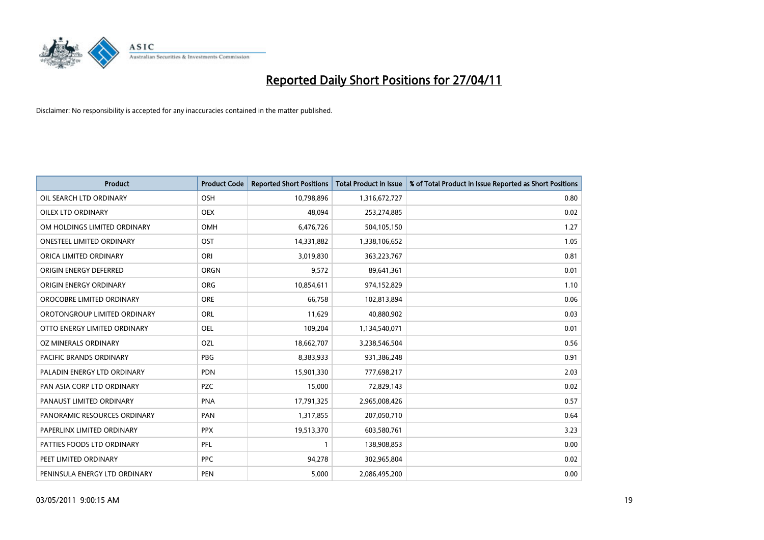

| <b>Product</b>                | <b>Product Code</b> | <b>Reported Short Positions</b> | <b>Total Product in Issue</b> | % of Total Product in Issue Reported as Short Positions |
|-------------------------------|---------------------|---------------------------------|-------------------------------|---------------------------------------------------------|
| OIL SEARCH LTD ORDINARY       | <b>OSH</b>          | 10,798,896                      | 1,316,672,727                 | 0.80                                                    |
| OILEX LTD ORDINARY            | <b>OEX</b>          | 48,094                          | 253,274,885                   | 0.02                                                    |
| OM HOLDINGS LIMITED ORDINARY  | <b>OMH</b>          | 6,476,726                       | 504,105,150                   | 1.27                                                    |
| ONESTEEL LIMITED ORDINARY     | OST                 | 14,331,882                      | 1,338,106,652                 | 1.05                                                    |
| ORICA LIMITED ORDINARY        | ORI                 | 3,019,830                       | 363,223,767                   | 0.81                                                    |
| ORIGIN ENERGY DEFERRED        | <b>ORGN</b>         | 9,572                           | 89,641,361                    | 0.01                                                    |
| ORIGIN ENERGY ORDINARY        | <b>ORG</b>          | 10,854,611                      | 974,152,829                   | 1.10                                                    |
| OROCOBRE LIMITED ORDINARY     | <b>ORE</b>          | 66,758                          | 102,813,894                   | 0.06                                                    |
| OROTONGROUP LIMITED ORDINARY  | ORL                 | 11,629                          | 40,880,902                    | 0.03                                                    |
| OTTO ENERGY LIMITED ORDINARY  | <b>OEL</b>          | 109,204                         | 1,134,540,071                 | 0.01                                                    |
| OZ MINERALS ORDINARY          | OZL                 | 18,662,707                      | 3,238,546,504                 | 0.56                                                    |
| PACIFIC BRANDS ORDINARY       | <b>PBG</b>          | 8,383,933                       | 931,386,248                   | 0.91                                                    |
| PALADIN ENERGY LTD ORDINARY   | <b>PDN</b>          | 15,901,330                      | 777,698,217                   | 2.03                                                    |
| PAN ASIA CORP LTD ORDINARY    | <b>PZC</b>          | 15,000                          | 72,829,143                    | 0.02                                                    |
| PANAUST LIMITED ORDINARY      | <b>PNA</b>          | 17,791,325                      | 2,965,008,426                 | 0.57                                                    |
| PANORAMIC RESOURCES ORDINARY  | PAN                 | 1,317,855                       | 207,050,710                   | 0.64                                                    |
| PAPERLINX LIMITED ORDINARY    | <b>PPX</b>          | 19,513,370                      | 603,580,761                   | 3.23                                                    |
| PATTIES FOODS LTD ORDINARY    | PFL                 |                                 | 138,908,853                   | 0.00                                                    |
| PEET LIMITED ORDINARY         | <b>PPC</b>          | 94,278                          | 302,965,804                   | 0.02                                                    |
| PENINSULA ENERGY LTD ORDINARY | <b>PEN</b>          | 5,000                           | 2,086,495,200                 | 0.00                                                    |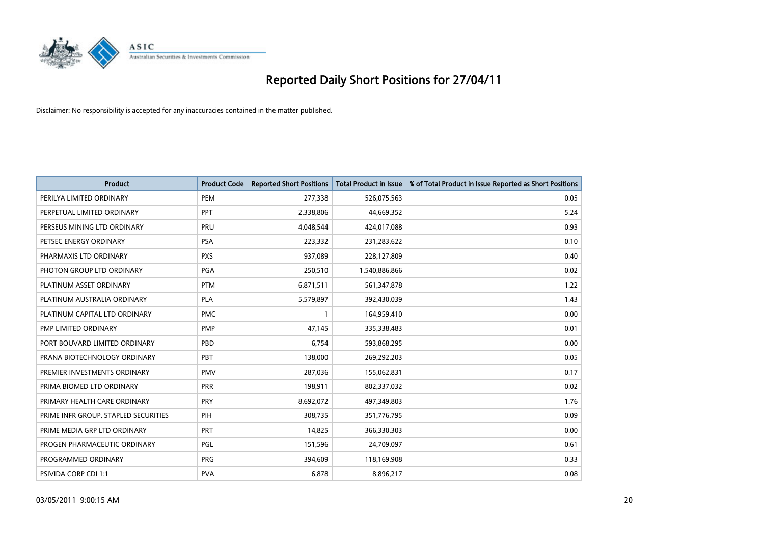

| <b>Product</b>                       | <b>Product Code</b> | <b>Reported Short Positions</b> | <b>Total Product in Issue</b> | % of Total Product in Issue Reported as Short Positions |
|--------------------------------------|---------------------|---------------------------------|-------------------------------|---------------------------------------------------------|
| PERILYA LIMITED ORDINARY             | PEM                 | 277,338                         | 526,075,563                   | 0.05                                                    |
| PERPETUAL LIMITED ORDINARY           | PPT                 | 2,338,806                       | 44,669,352                    | 5.24                                                    |
| PERSEUS MINING LTD ORDINARY          | PRU                 | 4,048,544                       | 424,017,088                   | 0.93                                                    |
| PETSEC ENERGY ORDINARY               | <b>PSA</b>          | 223,332                         | 231,283,622                   | 0.10                                                    |
| PHARMAXIS LTD ORDINARY               | <b>PXS</b>          | 937,089                         | 228,127,809                   | 0.40                                                    |
| PHOTON GROUP LTD ORDINARY            | PGA                 | 250,510                         | 1,540,886,866                 | 0.02                                                    |
| PLATINUM ASSET ORDINARY              | <b>PTM</b>          | 6,871,511                       | 561,347,878                   | 1.22                                                    |
| PLATINUM AUSTRALIA ORDINARY          | PLA                 | 5,579,897                       | 392,430,039                   | 1.43                                                    |
| PLATINUM CAPITAL LTD ORDINARY        | <b>PMC</b>          |                                 | 164,959,410                   | 0.00                                                    |
| PMP LIMITED ORDINARY                 | <b>PMP</b>          | 47,145                          | 335,338,483                   | 0.01                                                    |
| PORT BOUVARD LIMITED ORDINARY        | PBD                 | 6,754                           | 593,868,295                   | 0.00                                                    |
| PRANA BIOTECHNOLOGY ORDINARY         | PBT                 | 138,000                         | 269,292,203                   | 0.05                                                    |
| PREMIER INVESTMENTS ORDINARY         | <b>PMV</b>          | 287,036                         | 155,062,831                   | 0.17                                                    |
| PRIMA BIOMED LTD ORDINARY            | <b>PRR</b>          | 198,911                         | 802,337,032                   | 0.02                                                    |
| PRIMARY HEALTH CARE ORDINARY         | <b>PRY</b>          | 8,692,072                       | 497,349,803                   | 1.76                                                    |
| PRIME INFR GROUP. STAPLED SECURITIES | PIH                 | 308,735                         | 351,776,795                   | 0.09                                                    |
| PRIME MEDIA GRP LTD ORDINARY         | <b>PRT</b>          | 14,825                          | 366,330,303                   | 0.00                                                    |
| PROGEN PHARMACEUTIC ORDINARY         | PGL                 | 151,596                         | 24,709,097                    | 0.61                                                    |
| PROGRAMMED ORDINARY                  | <b>PRG</b>          | 394,609                         | 118,169,908                   | 0.33                                                    |
| PSIVIDA CORP CDI 1:1                 | <b>PVA</b>          | 6,878                           | 8,896,217                     | 0.08                                                    |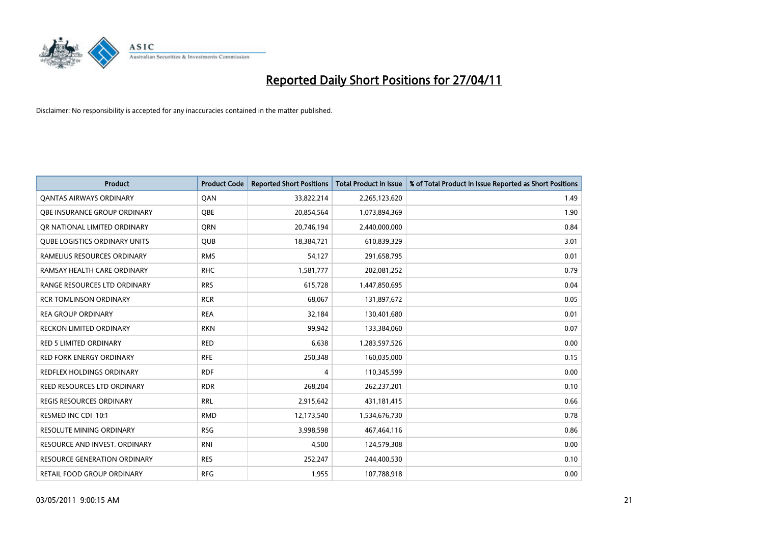

| <b>Product</b>                       | <b>Product Code</b> | <b>Reported Short Positions</b> | <b>Total Product in Issue</b> | % of Total Product in Issue Reported as Short Positions |
|--------------------------------------|---------------------|---------------------------------|-------------------------------|---------------------------------------------------------|
| <b>QANTAS AIRWAYS ORDINARY</b>       | QAN                 | 33,822,214                      | 2,265,123,620                 | 1.49                                                    |
| <b>OBE INSURANCE GROUP ORDINARY</b>  | OBE                 | 20,854,564                      | 1,073,894,369                 | 1.90                                                    |
| OR NATIONAL LIMITED ORDINARY         | <b>ORN</b>          | 20,746,194                      | 2,440,000,000                 | 0.84                                                    |
| <b>QUBE LOGISTICS ORDINARY UNITS</b> | <b>QUB</b>          | 18,384,721                      | 610,839,329                   | 3.01                                                    |
| RAMELIUS RESOURCES ORDINARY          | <b>RMS</b>          | 54,127                          | 291,658,795                   | 0.01                                                    |
| RAMSAY HEALTH CARE ORDINARY          | <b>RHC</b>          | 1,581,777                       | 202,081,252                   | 0.79                                                    |
| <b>RANGE RESOURCES LTD ORDINARY</b>  | <b>RRS</b>          | 615,728                         | 1,447,850,695                 | 0.04                                                    |
| <b>RCR TOMLINSON ORDINARY</b>        | <b>RCR</b>          | 68,067                          | 131,897,672                   | 0.05                                                    |
| <b>REA GROUP ORDINARY</b>            | <b>REA</b>          | 32,184                          | 130,401,680                   | 0.01                                                    |
| <b>RECKON LIMITED ORDINARY</b>       | <b>RKN</b>          | 99,942                          | 133,384,060                   | 0.07                                                    |
| RED 5 LIMITED ORDINARY               | <b>RED</b>          | 6,638                           | 1,283,597,526                 | 0.00                                                    |
| <b>RED FORK ENERGY ORDINARY</b>      | <b>RFE</b>          | 250,348                         | 160,035,000                   | 0.15                                                    |
| REDFLEX HOLDINGS ORDINARY            | <b>RDF</b>          | 4                               | 110,345,599                   | 0.00                                                    |
| REED RESOURCES LTD ORDINARY          | <b>RDR</b>          | 268,204                         | 262,237,201                   | 0.10                                                    |
| <b>REGIS RESOURCES ORDINARY</b>      | <b>RRL</b>          | 2,915,642                       | 431,181,415                   | 0.66                                                    |
| RESMED INC CDI 10:1                  | <b>RMD</b>          | 12,173,540                      | 1,534,676,730                 | 0.78                                                    |
| <b>RESOLUTE MINING ORDINARY</b>      | <b>RSG</b>          | 3,998,598                       | 467,464,116                   | 0.86                                                    |
| RESOURCE AND INVEST. ORDINARY        | <b>RNI</b>          | 4,500                           | 124,579,308                   | 0.00                                                    |
| RESOURCE GENERATION ORDINARY         | <b>RES</b>          | 252,247                         | 244,400,530                   | 0.10                                                    |
| RETAIL FOOD GROUP ORDINARY           | <b>RFG</b>          | 1,955                           | 107,788,918                   | 0.00                                                    |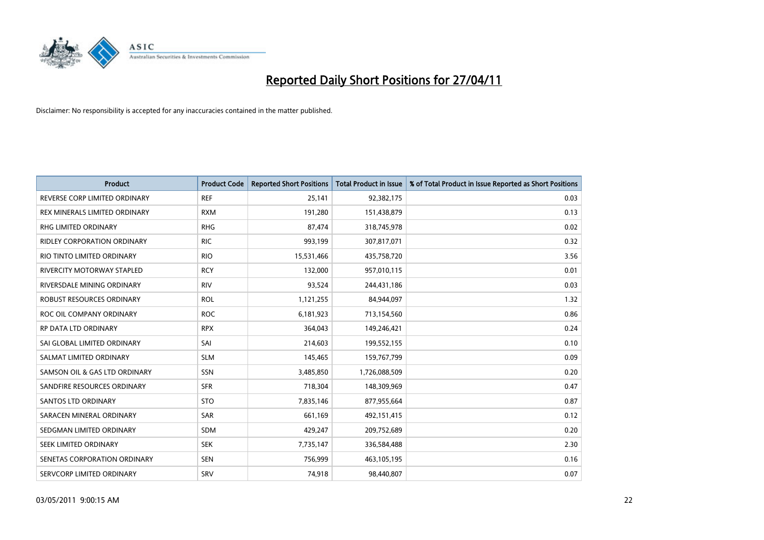

| <b>Product</b>                     | <b>Product Code</b> | <b>Reported Short Positions</b> | <b>Total Product in Issue</b> | % of Total Product in Issue Reported as Short Positions |
|------------------------------------|---------------------|---------------------------------|-------------------------------|---------------------------------------------------------|
| REVERSE CORP LIMITED ORDINARY      | <b>REF</b>          | 25,141                          | 92,382,175                    | 0.03                                                    |
| REX MINERALS LIMITED ORDINARY      | <b>RXM</b>          | 191,280                         | 151,438,879                   | 0.13                                                    |
| RHG LIMITED ORDINARY               | <b>RHG</b>          | 87,474                          | 318,745,978                   | 0.02                                                    |
| <b>RIDLEY CORPORATION ORDINARY</b> | <b>RIC</b>          | 993,199                         | 307,817,071                   | 0.32                                                    |
| RIO TINTO LIMITED ORDINARY         | <b>RIO</b>          | 15,531,466                      | 435,758,720                   | 3.56                                                    |
| <b>RIVERCITY MOTORWAY STAPLED</b>  | <b>RCY</b>          | 132,000                         | 957,010,115                   | 0.01                                                    |
| RIVERSDALE MINING ORDINARY         | <b>RIV</b>          | 93,524                          | 244,431,186                   | 0.03                                                    |
| ROBUST RESOURCES ORDINARY          | <b>ROL</b>          | 1,121,255                       | 84,944,097                    | 1.32                                                    |
| ROC OIL COMPANY ORDINARY           | <b>ROC</b>          | 6,181,923                       | 713,154,560                   | 0.86                                                    |
| <b>RP DATA LTD ORDINARY</b>        | <b>RPX</b>          | 364,043                         | 149,246,421                   | 0.24                                                    |
| SAI GLOBAL LIMITED ORDINARY        | SAI                 | 214,603                         | 199,552,155                   | 0.10                                                    |
| SALMAT LIMITED ORDINARY            | <b>SLM</b>          | 145,465                         | 159,767,799                   | 0.09                                                    |
| SAMSON OIL & GAS LTD ORDINARY      | <b>SSN</b>          | 3,485,850                       | 1,726,088,509                 | 0.20                                                    |
| SANDFIRE RESOURCES ORDINARY        | <b>SFR</b>          | 718,304                         | 148,309,969                   | 0.47                                                    |
| SANTOS LTD ORDINARY                | <b>STO</b>          | 7,835,146                       | 877,955,664                   | 0.87                                                    |
| SARACEN MINERAL ORDINARY           | <b>SAR</b>          | 661,169                         | 492,151,415                   | 0.12                                                    |
| SEDGMAN LIMITED ORDINARY           | <b>SDM</b>          | 429,247                         | 209,752,689                   | 0.20                                                    |
| SEEK LIMITED ORDINARY              | <b>SEK</b>          | 7,735,147                       | 336,584,488                   | 2.30                                                    |
| SENETAS CORPORATION ORDINARY       | <b>SEN</b>          | 756,999                         | 463,105,195                   | 0.16                                                    |
| SERVCORP LIMITED ORDINARY          | SRV                 | 74,918                          | 98,440,807                    | 0.07                                                    |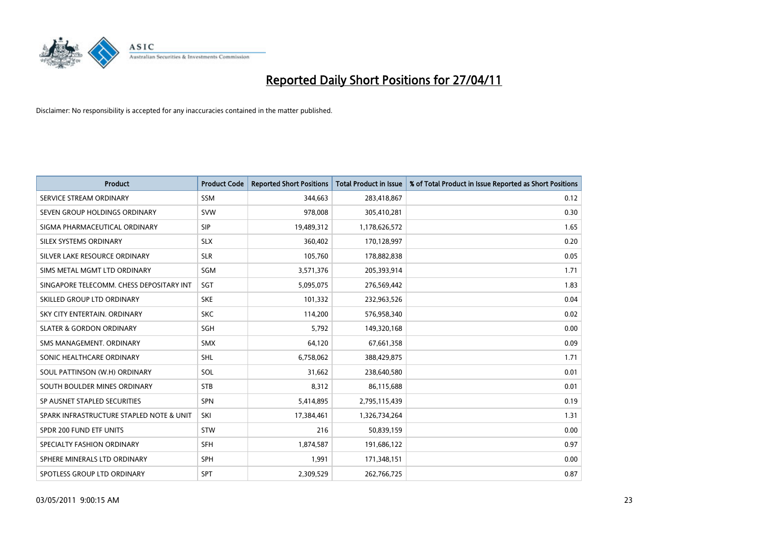

| <b>Product</b>                           | <b>Product Code</b> | <b>Reported Short Positions</b> | <b>Total Product in Issue</b> | % of Total Product in Issue Reported as Short Positions |
|------------------------------------------|---------------------|---------------------------------|-------------------------------|---------------------------------------------------------|
| SERVICE STREAM ORDINARY                  | <b>SSM</b>          | 344,663                         | 283,418,867                   | 0.12                                                    |
| SEVEN GROUP HOLDINGS ORDINARY            | <b>SVW</b>          | 978.008                         | 305,410,281                   | 0.30                                                    |
| SIGMA PHARMACEUTICAL ORDINARY            | SIP                 | 19,489,312                      | 1,178,626,572                 | 1.65                                                    |
| SILEX SYSTEMS ORDINARY                   | <b>SLX</b>          | 360,402                         | 170,128,997                   | 0.20                                                    |
| SILVER LAKE RESOURCE ORDINARY            | <b>SLR</b>          | 105,760                         | 178,882,838                   | 0.05                                                    |
| SIMS METAL MGMT LTD ORDINARY             | SGM                 | 3,571,376                       | 205,393,914                   | 1.71                                                    |
| SINGAPORE TELECOMM. CHESS DEPOSITARY INT | SGT                 | 5,095,075                       | 276,569,442                   | 1.83                                                    |
| SKILLED GROUP LTD ORDINARY               | <b>SKE</b>          | 101,332                         | 232,963,526                   | 0.04                                                    |
| SKY CITY ENTERTAIN. ORDINARY             | <b>SKC</b>          | 114,200                         | 576,958,340                   | 0.02                                                    |
| <b>SLATER &amp; GORDON ORDINARY</b>      | SGH                 | 5,792                           | 149,320,168                   | 0.00                                                    |
| SMS MANAGEMENT, ORDINARY                 | <b>SMX</b>          | 64,120                          | 67,661,358                    | 0.09                                                    |
| SONIC HEALTHCARE ORDINARY                | <b>SHL</b>          | 6,758,062                       | 388,429,875                   | 1.71                                                    |
| SOUL PATTINSON (W.H) ORDINARY            | SOL                 | 31.662                          | 238,640,580                   | 0.01                                                    |
| SOUTH BOULDER MINES ORDINARY             | <b>STB</b>          | 8,312                           | 86,115,688                    | 0.01                                                    |
| SP AUSNET STAPLED SECURITIES             | SPN                 | 5,414,895                       | 2,795,115,439                 | 0.19                                                    |
| SPARK INFRASTRUCTURE STAPLED NOTE & UNIT | SKI                 | 17,384,461                      | 1,326,734,264                 | 1.31                                                    |
| SPDR 200 FUND ETF UNITS                  | <b>STW</b>          | 216                             | 50,839,159                    | 0.00                                                    |
| SPECIALTY FASHION ORDINARY               | <b>SFH</b>          | 1,874,587                       | 191,686,122                   | 0.97                                                    |
| SPHERE MINERALS LTD ORDINARY             | <b>SPH</b>          | 1,991                           | 171,348,151                   | 0.00                                                    |
| SPOTLESS GROUP LTD ORDINARY              | SPT                 | 2,309,529                       | 262,766,725                   | 0.87                                                    |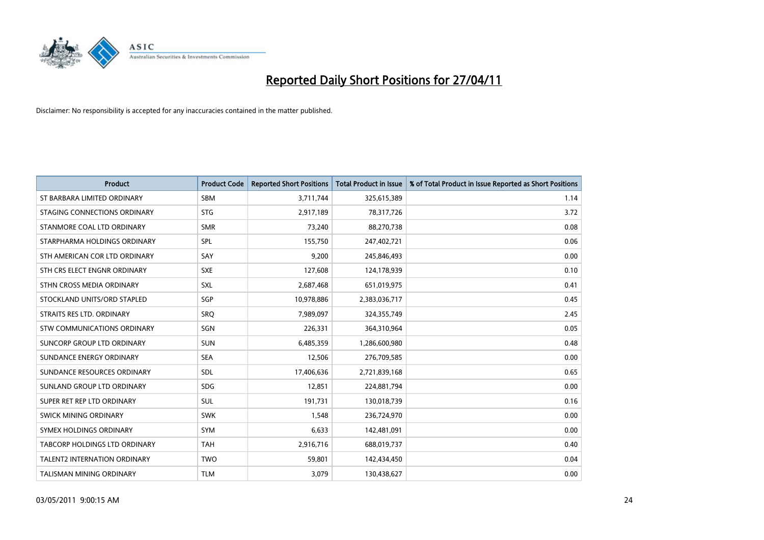

| <b>Product</b>                      | <b>Product Code</b> | <b>Reported Short Positions</b> | <b>Total Product in Issue</b> | % of Total Product in Issue Reported as Short Positions |
|-------------------------------------|---------------------|---------------------------------|-------------------------------|---------------------------------------------------------|
| ST BARBARA LIMITED ORDINARY         | <b>SBM</b>          | 3,711,744                       | 325,615,389                   | 1.14                                                    |
| STAGING CONNECTIONS ORDINARY        | <b>STG</b>          | 2,917,189                       | 78,317,726                    | 3.72                                                    |
| STANMORE COAL LTD ORDINARY          | <b>SMR</b>          | 73,240                          | 88,270,738                    | 0.08                                                    |
| STARPHARMA HOLDINGS ORDINARY        | SPL                 | 155,750                         | 247,402,721                   | 0.06                                                    |
| STH AMERICAN COR LTD ORDINARY       | SAY                 | 9,200                           | 245,846,493                   | 0.00                                                    |
| STH CRS ELECT ENGNR ORDINARY        | <b>SXE</b>          | 127,608                         | 124,178,939                   | 0.10                                                    |
| STHN CROSS MEDIA ORDINARY           | SXL                 | 2,687,468                       | 651,019,975                   | 0.41                                                    |
| STOCKLAND UNITS/ORD STAPLED         | SGP                 | 10,978,886                      | 2,383,036,717                 | 0.45                                                    |
| STRAITS RES LTD. ORDINARY           | <b>SRQ</b>          | 7,989,097                       | 324,355,749                   | 2.45                                                    |
| STW COMMUNICATIONS ORDINARY         | SGN                 | 226,331                         | 364,310,964                   | 0.05                                                    |
| SUNCORP GROUP LTD ORDINARY          | <b>SUN</b>          | 6,485,359                       | 1,286,600,980                 | 0.48                                                    |
| SUNDANCE ENERGY ORDINARY            | <b>SEA</b>          | 12,506                          | 276,709,585                   | 0.00                                                    |
| SUNDANCE RESOURCES ORDINARY         | <b>SDL</b>          | 17,406,636                      | 2,721,839,168                 | 0.65                                                    |
| SUNLAND GROUP LTD ORDINARY          | <b>SDG</b>          | 12,851                          | 224,881,794                   | 0.00                                                    |
| SUPER RET REP LTD ORDINARY          | <b>SUL</b>          | 191,731                         | 130,018,739                   | 0.16                                                    |
| SWICK MINING ORDINARY               | <b>SWK</b>          | 1,548                           | 236,724,970                   | 0.00                                                    |
| SYMEX HOLDINGS ORDINARY             | <b>SYM</b>          | 6,633                           | 142,481,091                   | 0.00                                                    |
| TABCORP HOLDINGS LTD ORDINARY       | <b>TAH</b>          | 2,916,716                       | 688,019,737                   | 0.40                                                    |
| <b>TALENT2 INTERNATION ORDINARY</b> | <b>TWO</b>          | 59,801                          | 142,434,450                   | 0.04                                                    |
| TALISMAN MINING ORDINARY            | <b>TLM</b>          | 3,079                           | 130,438,627                   | 0.00                                                    |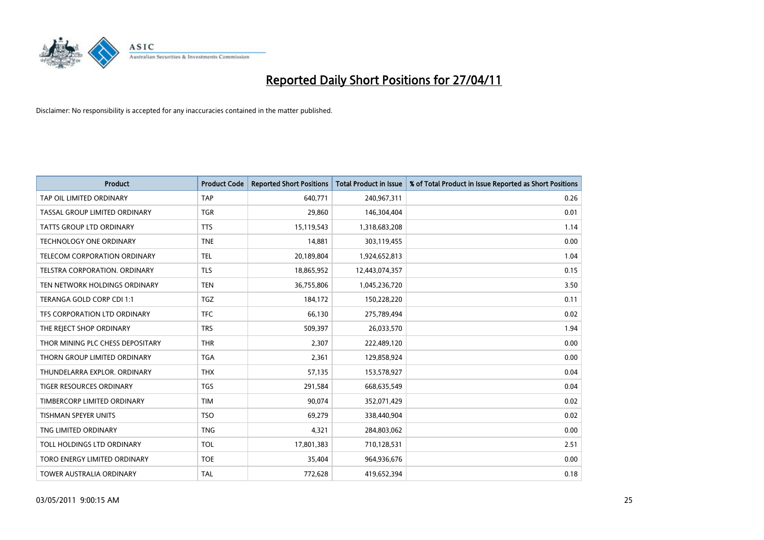

| <b>Product</b>                       | <b>Product Code</b> | <b>Reported Short Positions</b> | <b>Total Product in Issue</b> | % of Total Product in Issue Reported as Short Positions |
|--------------------------------------|---------------------|---------------------------------|-------------------------------|---------------------------------------------------------|
| TAP OIL LIMITED ORDINARY             | <b>TAP</b>          | 640,771                         | 240,967,311                   | 0.26                                                    |
| TASSAL GROUP LIMITED ORDINARY        | <b>TGR</b>          | 29,860                          | 146,304,404                   | 0.01                                                    |
| <b>TATTS GROUP LTD ORDINARY</b>      | <b>TTS</b>          | 15,119,543                      | 1,318,683,208                 | 1.14                                                    |
| TECHNOLOGY ONE ORDINARY              | <b>TNE</b>          | 14,881                          | 303,119,455                   | 0.00                                                    |
| TELECOM CORPORATION ORDINARY         | <b>TEL</b>          | 20,189,804                      | 1,924,652,813                 | 1.04                                                    |
| <b>TELSTRA CORPORATION, ORDINARY</b> | <b>TLS</b>          | 18,865,952                      | 12,443,074,357                | 0.15                                                    |
| TEN NETWORK HOLDINGS ORDINARY        | <b>TEN</b>          | 36,755,806                      | 1,045,236,720                 | 3.50                                                    |
| TERANGA GOLD CORP CDI 1:1            | <b>TGZ</b>          | 184,172                         | 150,228,220                   | 0.11                                                    |
| TFS CORPORATION LTD ORDINARY         | <b>TFC</b>          | 66,130                          | 275,789,494                   | 0.02                                                    |
| THE REJECT SHOP ORDINARY             | <b>TRS</b>          | 509,397                         | 26,033,570                    | 1.94                                                    |
| THOR MINING PLC CHESS DEPOSITARY     | <b>THR</b>          | 2,307                           | 222,489,120                   | 0.00                                                    |
| THORN GROUP LIMITED ORDINARY         | <b>TGA</b>          | 2,361                           | 129,858,924                   | 0.00                                                    |
| THUNDELARRA EXPLOR. ORDINARY         | <b>THX</b>          | 57,135                          | 153,578,927                   | 0.04                                                    |
| TIGER RESOURCES ORDINARY             | TGS                 | 291,584                         | 668,635,549                   | 0.04                                                    |
| TIMBERCORP LIMITED ORDINARY          | <b>TIM</b>          | 90,074                          | 352,071,429                   | 0.02                                                    |
| <b>TISHMAN SPEYER UNITS</b>          | <b>TSO</b>          | 69,279                          | 338,440,904                   | 0.02                                                    |
| TNG LIMITED ORDINARY                 | <b>TNG</b>          | 4,321                           | 284,803,062                   | 0.00                                                    |
| TOLL HOLDINGS LTD ORDINARY           | <b>TOL</b>          | 17,801,383                      | 710,128,531                   | 2.51                                                    |
| TORO ENERGY LIMITED ORDINARY         | <b>TOE</b>          | 35,404                          | 964,936,676                   | 0.00                                                    |
| TOWER AUSTRALIA ORDINARY             | <b>TAL</b>          | 772,628                         | 419,652,394                   | 0.18                                                    |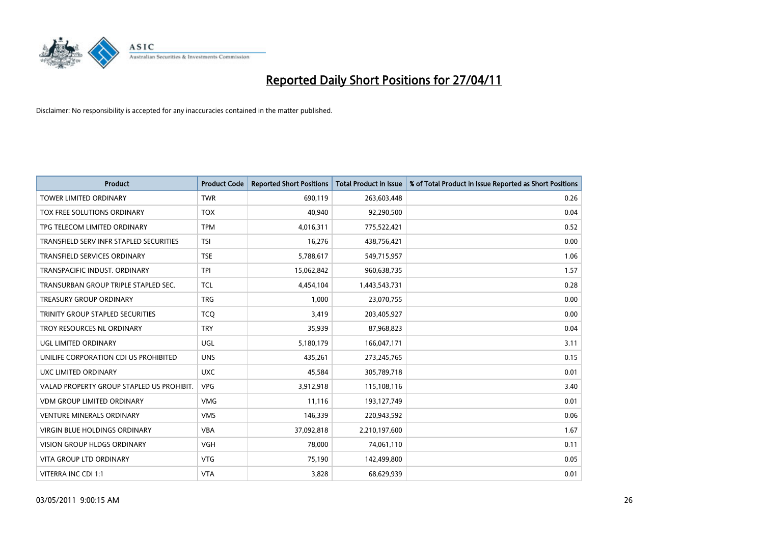

| <b>Product</b>                            | <b>Product Code</b> | <b>Reported Short Positions</b> | <b>Total Product in Issue</b> | % of Total Product in Issue Reported as Short Positions |
|-------------------------------------------|---------------------|---------------------------------|-------------------------------|---------------------------------------------------------|
| <b>TOWER LIMITED ORDINARY</b>             | <b>TWR</b>          | 690,119                         | 263,603,448                   | 0.26                                                    |
| TOX FREE SOLUTIONS ORDINARY               | <b>TOX</b>          | 40,940                          | 92,290,500                    | 0.04                                                    |
| TPG TELECOM LIMITED ORDINARY              | <b>TPM</b>          | 4,016,311                       | 775,522,421                   | 0.52                                                    |
| TRANSFIELD SERV INFR STAPLED SECURITIES   | <b>TSI</b>          | 16,276                          | 438,756,421                   | 0.00                                                    |
| <b>TRANSFIELD SERVICES ORDINARY</b>       | <b>TSE</b>          | 5,788,617                       | 549,715,957                   | 1.06                                                    |
| TRANSPACIFIC INDUST. ORDINARY             | <b>TPI</b>          | 15,062,842                      | 960,638,735                   | 1.57                                                    |
| TRANSURBAN GROUP TRIPLE STAPLED SEC.      | <b>TCL</b>          | 4,454,104                       | 1,443,543,731                 | 0.28                                                    |
| <b>TREASURY GROUP ORDINARY</b>            | <b>TRG</b>          | 1,000                           | 23,070,755                    | 0.00                                                    |
| TRINITY GROUP STAPLED SECURITIES          | <b>TCO</b>          | 3,419                           | 203,405,927                   | 0.00                                                    |
| TROY RESOURCES NL ORDINARY                | <b>TRY</b>          | 35,939                          | 87,968,823                    | 0.04                                                    |
| UGL LIMITED ORDINARY                      | <b>UGL</b>          | 5,180,179                       | 166,047,171                   | 3.11                                                    |
| UNILIFE CORPORATION CDI US PROHIBITED     | <b>UNS</b>          | 435,261                         | 273,245,765                   | 0.15                                                    |
| UXC LIMITED ORDINARY                      | <b>UXC</b>          | 45,584                          | 305,789,718                   | 0.01                                                    |
| VALAD PROPERTY GROUP STAPLED US PROHIBIT. | <b>VPG</b>          | 3,912,918                       | 115,108,116                   | 3.40                                                    |
| <b>VDM GROUP LIMITED ORDINARY</b>         | <b>VMG</b>          | 11,116                          | 193,127,749                   | 0.01                                                    |
| <b>VENTURE MINERALS ORDINARY</b>          | <b>VMS</b>          | 146,339                         | 220,943,592                   | 0.06                                                    |
| <b>VIRGIN BLUE HOLDINGS ORDINARY</b>      | <b>VBA</b>          | 37,092,818                      | 2,210,197,600                 | 1.67                                                    |
| VISION GROUP HLDGS ORDINARY               | <b>VGH</b>          | 78,000                          | 74,061,110                    | 0.11                                                    |
| <b>VITA GROUP LTD ORDINARY</b>            | <b>VTG</b>          | 75,190                          | 142,499,800                   | 0.05                                                    |
| <b>VITERRA INC CDI 1:1</b>                | <b>VTA</b>          | 3,828                           | 68,629,939                    | 0.01                                                    |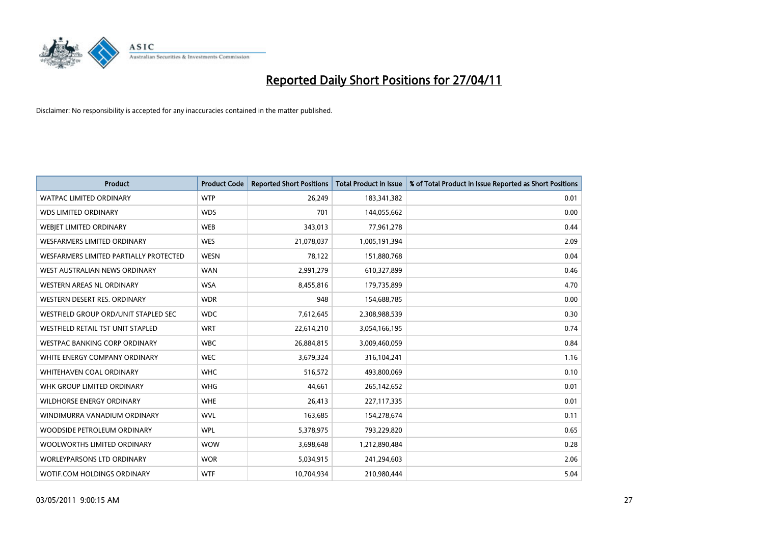

| <b>Product</b>                         | <b>Product Code</b> | <b>Reported Short Positions</b> | <b>Total Product in Issue</b> | % of Total Product in Issue Reported as Short Positions |
|----------------------------------------|---------------------|---------------------------------|-------------------------------|---------------------------------------------------------|
| <b>WATPAC LIMITED ORDINARY</b>         | <b>WTP</b>          | 26,249                          | 183,341,382                   | 0.01                                                    |
| <b>WDS LIMITED ORDINARY</b>            | <b>WDS</b>          | 701                             | 144,055,662                   | 0.00                                                    |
| WEBIET LIMITED ORDINARY                | <b>WEB</b>          | 343,013                         | 77,961,278                    | 0.44                                                    |
| <b>WESFARMERS LIMITED ORDINARY</b>     | <b>WES</b>          | 21,078,037                      | 1,005,191,394                 | 2.09                                                    |
| WESFARMERS LIMITED PARTIALLY PROTECTED | <b>WESN</b>         | 78,122                          | 151,880,768                   | 0.04                                                    |
| WEST AUSTRALIAN NEWS ORDINARY          | <b>WAN</b>          | 2,991,279                       | 610,327,899                   | 0.46                                                    |
| WESTERN AREAS NL ORDINARY              | <b>WSA</b>          | 8,455,816                       | 179,735,899                   | 4.70                                                    |
| WESTERN DESERT RES. ORDINARY           | <b>WDR</b>          | 948                             | 154,688,785                   | 0.00                                                    |
| WESTFIELD GROUP ORD/UNIT STAPLED SEC   | <b>WDC</b>          | 7,612,645                       | 2,308,988,539                 | 0.30                                                    |
| WESTFIELD RETAIL TST UNIT STAPLED      | <b>WRT</b>          | 22,614,210                      | 3,054,166,195                 | 0.74                                                    |
| WESTPAC BANKING CORP ORDINARY          | <b>WBC</b>          | 26,884,815                      | 3,009,460,059                 | 0.84                                                    |
| WHITE ENERGY COMPANY ORDINARY          | <b>WEC</b>          | 3,679,324                       | 316,104,241                   | 1.16                                                    |
| WHITEHAVEN COAL ORDINARY               | <b>WHC</b>          | 516,572                         | 493,800,069                   | 0.10                                                    |
| WHK GROUP LIMITED ORDINARY             | <b>WHG</b>          | 44,661                          | 265,142,652                   | 0.01                                                    |
| <b>WILDHORSE ENERGY ORDINARY</b>       | <b>WHE</b>          | 26,413                          | 227,117,335                   | 0.01                                                    |
| WINDIMURRA VANADIUM ORDINARY           | <b>WVL</b>          | 163,685                         | 154,278,674                   | 0.11                                                    |
| WOODSIDE PETROLEUM ORDINARY            | <b>WPL</b>          | 5,378,975                       | 793,229,820                   | 0.65                                                    |
| WOOLWORTHS LIMITED ORDINARY            | <b>WOW</b>          | 3,698,648                       | 1,212,890,484                 | 0.28                                                    |
| <b>WORLEYPARSONS LTD ORDINARY</b>      | <b>WOR</b>          | 5,034,915                       | 241,294,603                   | 2.06                                                    |
| WOTIF.COM HOLDINGS ORDINARY            | <b>WTF</b>          | 10,704,934                      | 210,980,444                   | 5.04                                                    |